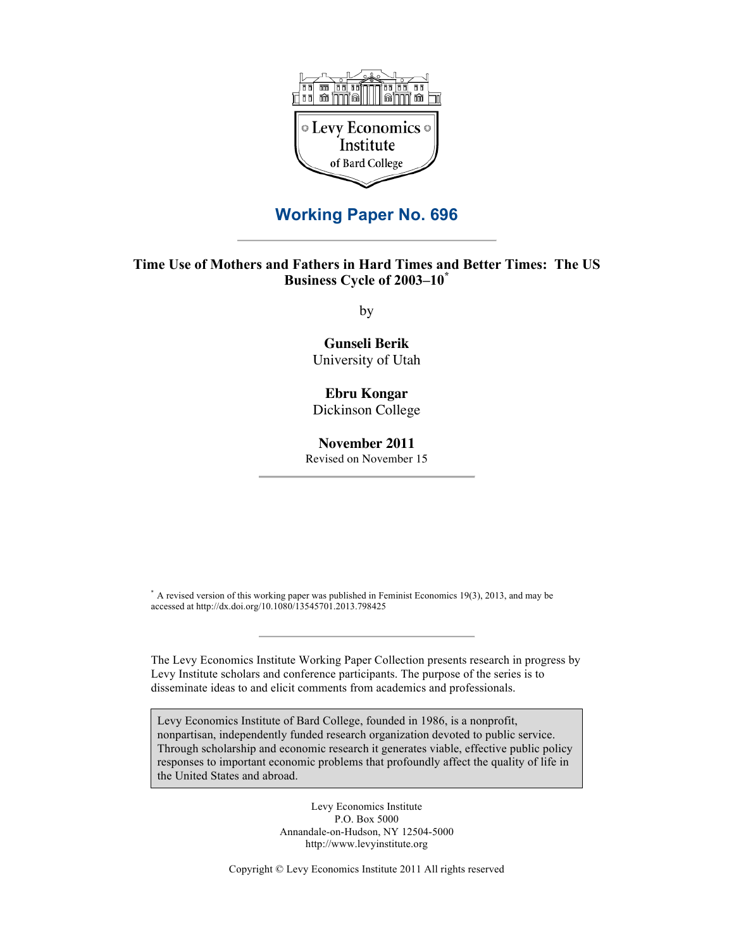

# **Working Paper No. 696**

# **Time Use of Mothers and Fathers in Hard Times and Better Times: The US Business Cycle of 2003–10\***

by

# **Gunseli Berik** University of Utah

# **Ebru Kongar**

Dickinson College

#### **November 2011**

Revised on November 15

\* A revised version of this working paper was published in Feminist Economics 19(3), 2013, and may be accessed at http://dx.doi.org/10.1080/13545701.2013.798425

The Levy Economics Institute Working Paper Collection presents research in progress by Levy Institute scholars and conference participants. The purpose of the series is to disseminate ideas to and elicit comments from academics and professionals.

Levy Economics Institute of Bard College, founded in 1986, is a nonprofit, nonpartisan, independently funded research organization devoted to public service. Through scholarship and economic research it generates viable, effective public policy responses to important economic problems that profoundly affect the quality of life in the United States and abroad.

> Levy Economics Institute P.O. Box 5000 Annandale-on-Hudson, NY 12504-5000 http://www.levyinstitute.org

Copyright © Levy Economics Institute 2011 All rights reserved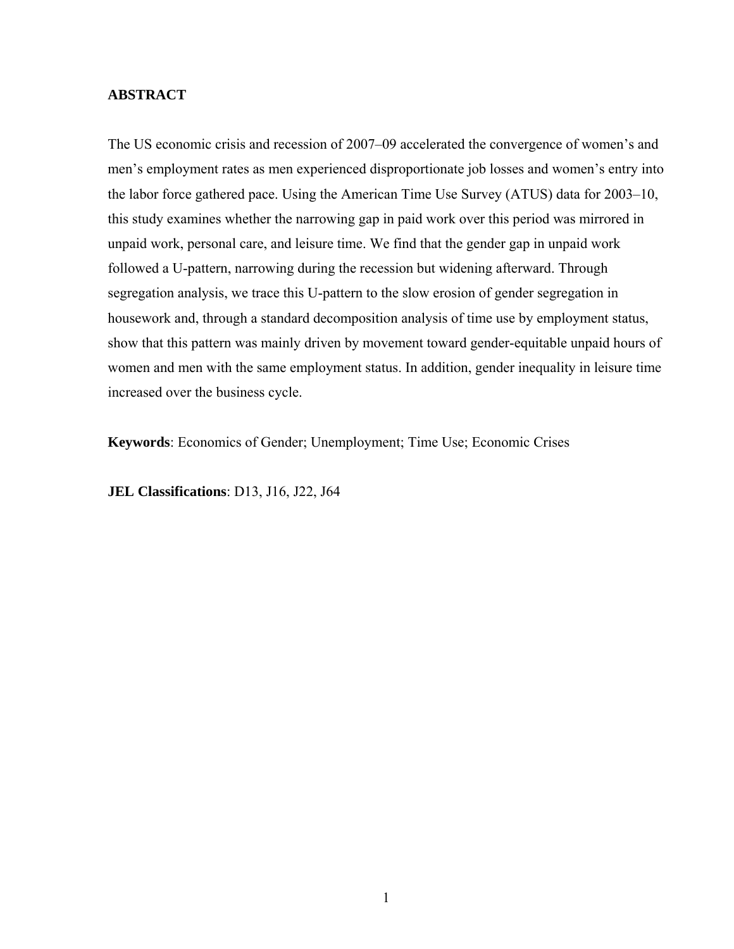# **ABSTRACT**

The US economic crisis and recession of 2007–09 accelerated the convergence of women's and men's employment rates as men experienced disproportionate job losses and women's entry into the labor force gathered pace. Using the American Time Use Survey (ATUS) data for 2003–10, this study examines whether the narrowing gap in paid work over this period was mirrored in unpaid work, personal care, and leisure time. We find that the gender gap in unpaid work followed a U-pattern, narrowing during the recession but widening afterward. Through segregation analysis, we trace this U-pattern to the slow erosion of gender segregation in housework and, through a standard decomposition analysis of time use by employment status, show that this pattern was mainly driven by movement toward gender-equitable unpaid hours of women and men with the same employment status. In addition, gender inequality in leisure time increased over the business cycle.

**Keywords**: Economics of Gender; Unemployment; Time Use; Economic Crises

**JEL Classifications**: D13, J16, J22, J64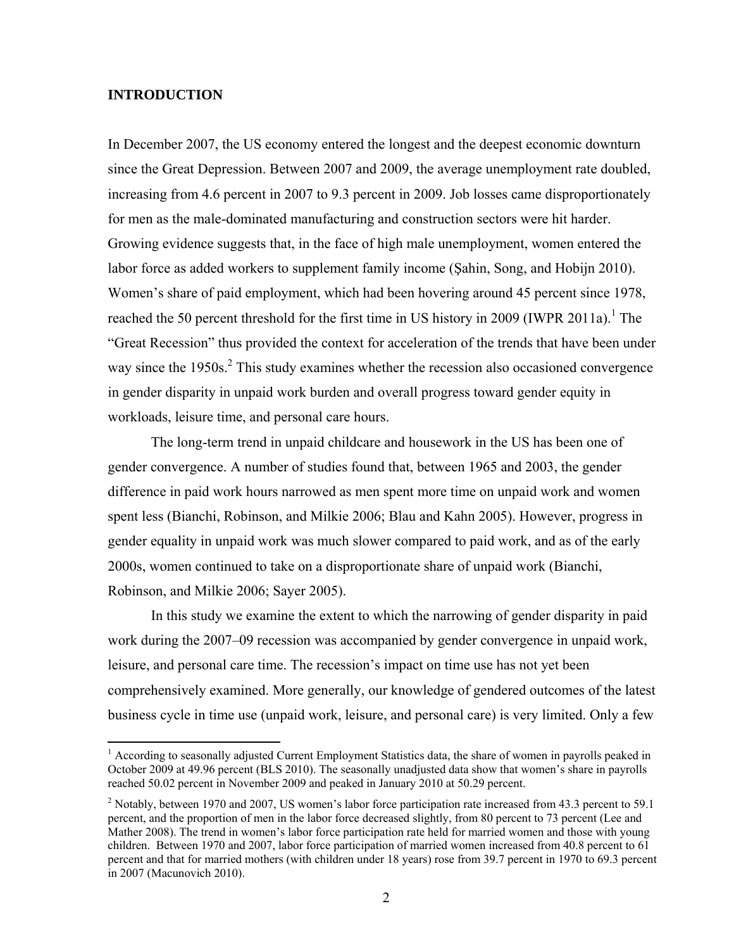# **INTRODUCTION**

 $\overline{a}$ 

In December 2007, the US economy entered the longest and the deepest economic downturn since the Great Depression. Between 2007 and 2009, the average unemployment rate doubled, increasing from 4.6 percent in 2007 to 9.3 percent in 2009. Job losses came disproportionately for men as the male-dominated manufacturing and construction sectors were hit harder. Growing evidence suggests that, in the face of high male unemployment, women entered the labor force as added workers to supplement family income (Şahin, Song, and Hobijn 2010). Women's share of paid employment, which had been hovering around 45 percent since 1978, reached the 50 percent threshold for the first time in US history in 2009 (IWPR 2011a).<sup>1</sup> The "Great Recession" thus provided the context for acceleration of the trends that have been under way since the  $1950s$ <sup>2</sup>. This study examines whether the recession also occasioned convergence in gender disparity in unpaid work burden and overall progress toward gender equity in workloads, leisure time, and personal care hours.

The long-term trend in unpaid childcare and housework in the US has been one of gender convergence. A number of studies found that, between 1965 and 2003, the gender difference in paid work hours narrowed as men spent more time on unpaid work and women spent less (Bianchi, Robinson, and Milkie 2006; Blau and Kahn 2005). However, progress in gender equality in unpaid work was much slower compared to paid work, and as of the early 2000s, women continued to take on a disproportionate share of unpaid work (Bianchi, Robinson, and Milkie 2006; Sayer 2005).

In this study we examine the extent to which the narrowing of gender disparity in paid work during the 2007–09 recession was accompanied by gender convergence in unpaid work, leisure, and personal care time. The recession's impact on time use has not yet been comprehensively examined. More generally, our knowledge of gendered outcomes of the latest business cycle in time use (unpaid work, leisure, and personal care) is very limited. Only a few

<sup>&</sup>lt;sup>1</sup> According to seasonally adjusted Current Employment Statistics data, the share of women in payrolls peaked in October 2009 at 49.96 percent (BLS 2010). The seasonally unadjusted data show that women's share in payrolls reached 50.02 percent in November 2009 and peaked in January 2010 at 50.29 percent.

<sup>&</sup>lt;sup>2</sup> Notably, between 1970 and 2007, US women's labor force participation rate increased from 43.3 percent to 59.1 percent, and the proportion of men in the labor force decreased slightly, from 80 percent to 73 percent (Lee and Mather 2008). The trend in women's labor force participation rate held for married women and those with young children. Between 1970 and 2007, labor force participation of married women increased from 40.8 percent to 61 percent and that for married mothers (with children under 18 years) rose from 39.7 percent in 1970 to 69.3 percent in 2007 (Macunovich 2010).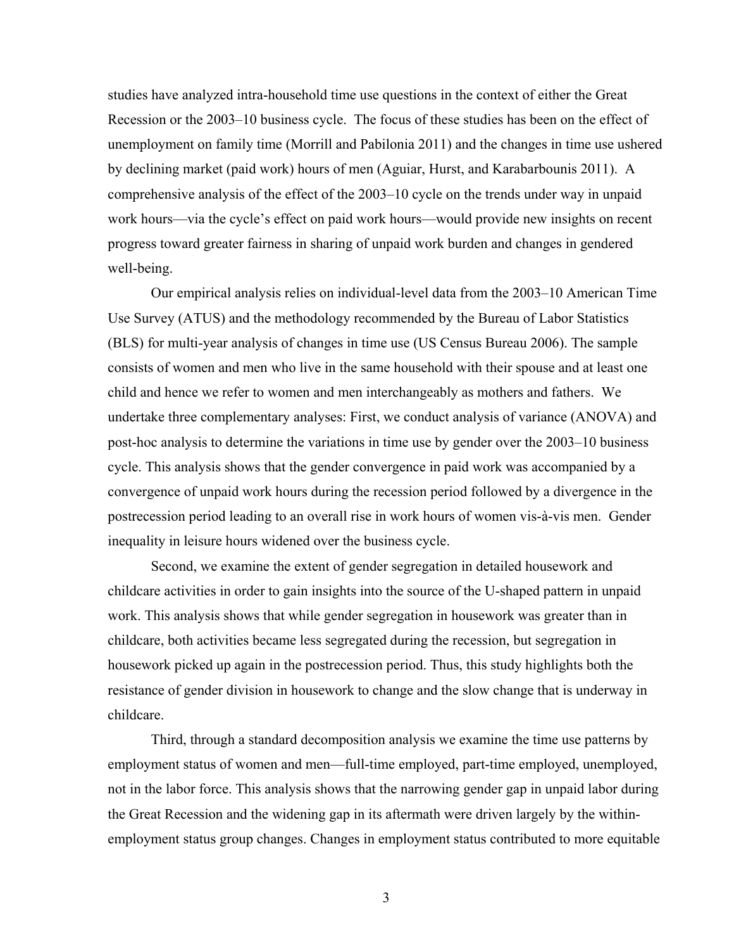studies have analyzed intra-household time use questions in the context of either the Great Recession or the 2003–10 business cycle. The focus of these studies has been on the effect of unemployment on family time (Morrill and Pabilonia 2011) and the changes in time use ushered by declining market (paid work) hours of men (Aguiar, Hurst, and Karabarbounis 2011). A comprehensive analysis of the effect of the 2003–10 cycle on the trends under way in unpaid work hours—via the cycle's effect on paid work hours—would provide new insights on recent progress toward greater fairness in sharing of unpaid work burden and changes in gendered well-being.

Our empirical analysis relies on individual-level data from the 2003–10 American Time Use Survey (ATUS) and the methodology recommended by the Bureau of Labor Statistics (BLS) for multi-year analysis of changes in time use (US Census Bureau 2006). The sample consists of women and men who live in the same household with their spouse and at least one child and hence we refer to women and men interchangeably as mothers and fathers. We undertake three complementary analyses: First, we conduct analysis of variance (ANOVA) and post-hoc analysis to determine the variations in time use by gender over the 2003–10 business cycle. This analysis shows that the gender convergence in paid work was accompanied by a convergence of unpaid work hours during the recession period followed by a divergence in the postrecession period leading to an overall rise in work hours of women vis-à-vis men. Gender inequality in leisure hours widened over the business cycle.

Second, we examine the extent of gender segregation in detailed housework and childcare activities in order to gain insights into the source of the U-shaped pattern in unpaid work. This analysis shows that while gender segregation in housework was greater than in childcare, both activities became less segregated during the recession, but segregation in housework picked up again in the postrecession period. Thus, this study highlights both the resistance of gender division in housework to change and the slow change that is underway in childcare.

Third, through a standard decomposition analysis we examine the time use patterns by employment status of women and men—full-time employed, part-time employed, unemployed, not in the labor force. This analysis shows that the narrowing gender gap in unpaid labor during the Great Recession and the widening gap in its aftermath were driven largely by the withinemployment status group changes. Changes in employment status contributed to more equitable

3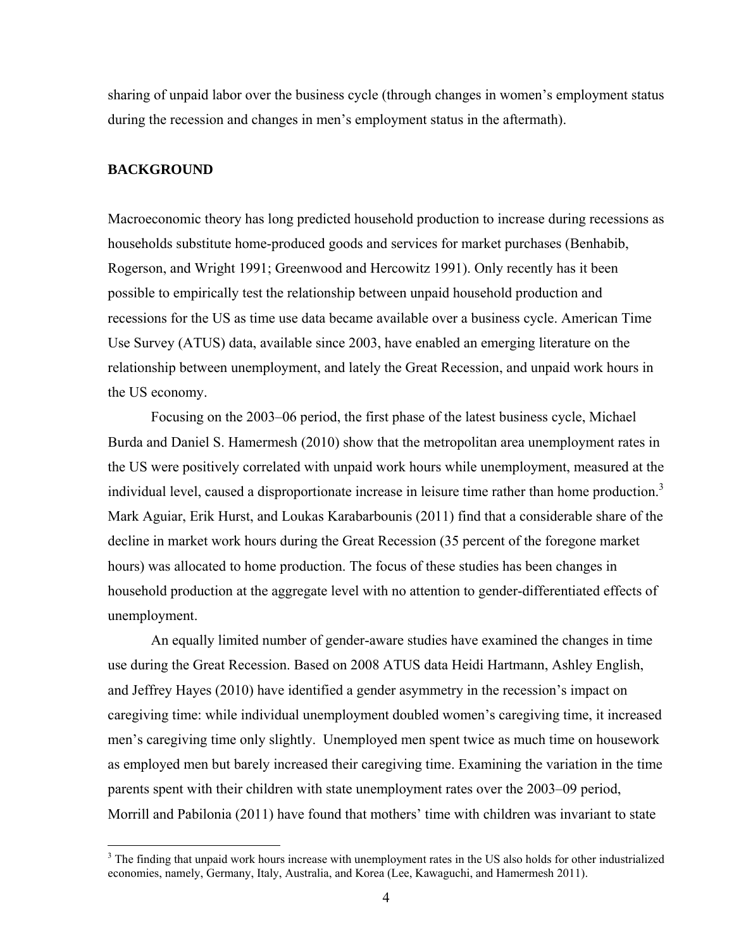sharing of unpaid labor over the business cycle (through changes in women's employment status during the recession and changes in men's employment status in the aftermath).

## **BACKGROUND**

 $\overline{a}$ 

Macroeconomic theory has long predicted household production to increase during recessions as households substitute home-produced goods and services for market purchases (Benhabib, Rogerson, and Wright 1991; Greenwood and Hercowitz 1991). Only recently has it been possible to empirically test the relationship between unpaid household production and recessions for the US as time use data became available over a business cycle. American Time Use Survey (ATUS) data, available since 2003, have enabled an emerging literature on the relationship between unemployment, and lately the Great Recession, and unpaid work hours in the US economy.

Focusing on the 2003–06 period, the first phase of the latest business cycle, Michael Burda and Daniel S. Hamermesh (2010) show that the metropolitan area unemployment rates in the US were positively correlated with unpaid work hours while unemployment, measured at the individual level, caused a disproportionate increase in leisure time rather than home production.<sup>3</sup> Mark Aguiar, Erik Hurst, and Loukas Karabarbounis (2011) find that a considerable share of the decline in market work hours during the Great Recession (35 percent of the foregone market hours) was allocated to home production. The focus of these studies has been changes in household production at the aggregate level with no attention to gender-differentiated effects of unemployment.

An equally limited number of gender-aware studies have examined the changes in time use during the Great Recession. Based on 2008 ATUS data Heidi Hartmann, Ashley English, and Jeffrey Hayes (2010) have identified a gender asymmetry in the recession's impact on caregiving time: while individual unemployment doubled women's caregiving time, it increased men's caregiving time only slightly. Unemployed men spent twice as much time on housework as employed men but barely increased their caregiving time. Examining the variation in the time parents spent with their children with state unemployment rates over the 2003–09 period, Morrill and Pabilonia (2011) have found that mothers' time with children was invariant to state

<sup>&</sup>lt;sup>3</sup> The finding that unpaid work hours increase with unemployment rates in the US also holds for other industrialized economies, namely, Germany, Italy, Australia, and Korea (Lee, Kawaguchi, and Hamermesh 2011).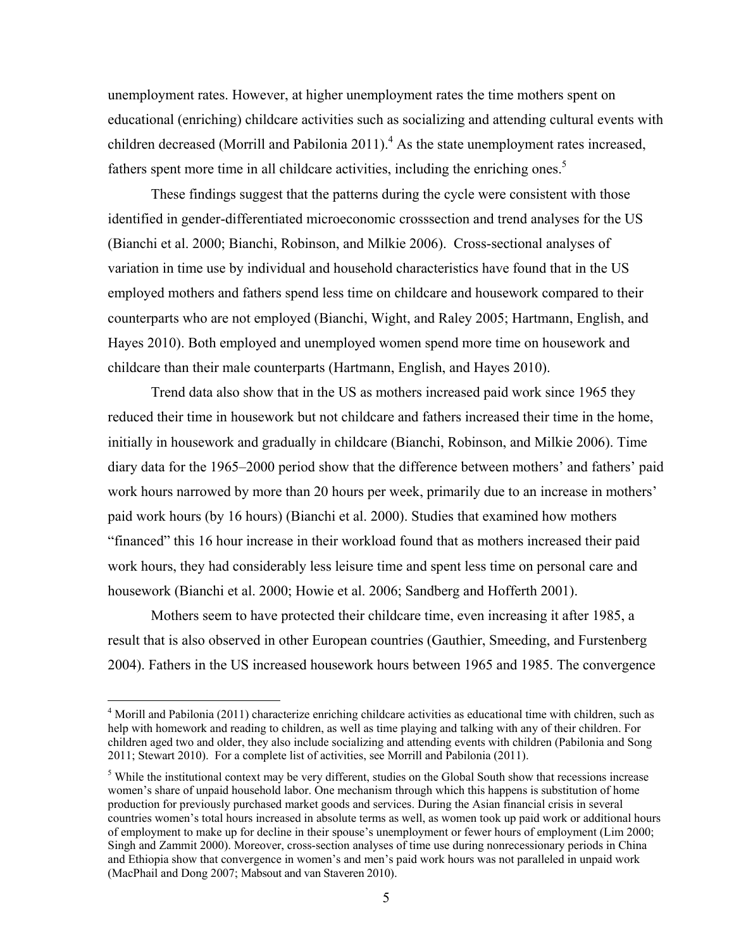unemployment rates. However, at higher unemployment rates the time mothers spent on educational (enriching) childcare activities such as socializing and attending cultural events with children decreased (Morrill and Pabilonia 2011).<sup>4</sup> As the state unemployment rates increased, fathers spent more time in all childcare activities, including the enriching ones.<sup>5</sup>

These findings suggest that the patterns during the cycle were consistent with those identified in gender-differentiated microeconomic crosssection and trend analyses for the US (Bianchi et al. 2000; Bianchi, Robinson, and Milkie 2006). Cross-sectional analyses of variation in time use by individual and household characteristics have found that in the US employed mothers and fathers spend less time on childcare and housework compared to their counterparts who are not employed (Bianchi, Wight, and Raley 2005; Hartmann, English, and Hayes 2010). Both employed and unemployed women spend more time on housework and childcare than their male counterparts (Hartmann, English, and Hayes 2010).

 Trend data also show that in the US as mothers increased paid work since 1965 they reduced their time in housework but not childcare and fathers increased their time in the home, initially in housework and gradually in childcare (Bianchi, Robinson, and Milkie 2006). Time diary data for the 1965–2000 period show that the difference between mothers' and fathers' paid work hours narrowed by more than 20 hours per week, primarily due to an increase in mothers' paid work hours (by 16 hours) (Bianchi et al. 2000). Studies that examined how mothers "financed" this 16 hour increase in their workload found that as mothers increased their paid work hours, they had considerably less leisure time and spent less time on personal care and housework (Bianchi et al. 2000; Howie et al. 2006; Sandberg and Hofferth 2001).

 Mothers seem to have protected their childcare time, even increasing it after 1985, a result that is also observed in other European countries (Gauthier, Smeeding, and Furstenberg 2004). Fathers in the US increased housework hours between 1965 and 1985. The convergence

 4 Morill and Pabilonia (2011) characterize enriching childcare activities as educational time with children, such as help with homework and reading to children, as well as time playing and talking with any of their children. For children aged two and older, they also include socializing and attending events with children (Pabilonia and Song 2011; Stewart 2010). For a complete list of activities, see Morrill and Pabilonia (2011).

<sup>&</sup>lt;sup>5</sup> While the institutional context may be very different, studies on the Global South show that recessions increase women's share of unpaid household labor. One mechanism through which this happens is substitution of home production for previously purchased market goods and services. During the Asian financial crisis in several countries women's total hours increased in absolute terms as well, as women took up paid work or additional hours of employment to make up for decline in their spouse's unemployment or fewer hours of employment (Lim 2000; Singh and Zammit 2000). Moreover, cross-section analyses of time use during nonrecessionary periods in China and Ethiopia show that convergence in women's and men's paid work hours was not paralleled in unpaid work (MacPhail and Dong 2007; Mabsout and van Staveren 2010).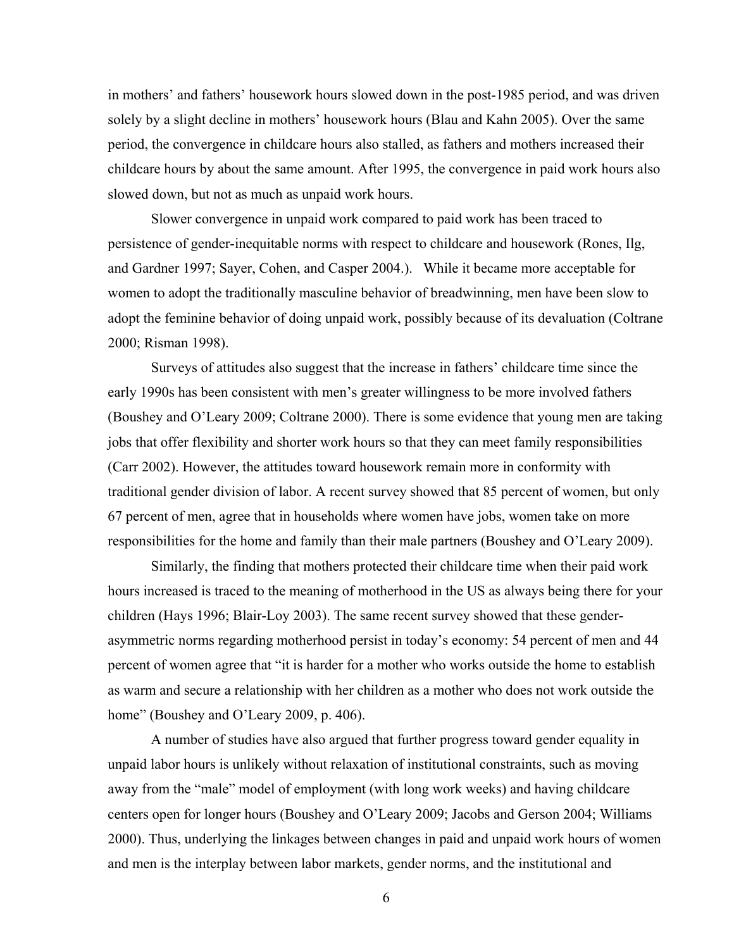in mothers' and fathers' housework hours slowed down in the post-1985 period, and was driven solely by a slight decline in mothers' housework hours (Blau and Kahn 2005). Over the same period, the convergence in childcare hours also stalled, as fathers and mothers increased their childcare hours by about the same amount. After 1995, the convergence in paid work hours also slowed down, but not as much as unpaid work hours.

Slower convergence in unpaid work compared to paid work has been traced to persistence of gender-inequitable norms with respect to childcare and housework (Rones, Ilg, and Gardner 1997; Sayer, Cohen, and Casper 2004.). While it became more acceptable for women to adopt the traditionally masculine behavior of breadwinning, men have been slow to adopt the feminine behavior of doing unpaid work, possibly because of its devaluation (Coltrane 2000; Risman 1998).

 Surveys of attitudes also suggest that the increase in fathers' childcare time since the early 1990s has been consistent with men's greater willingness to be more involved fathers (Boushey and O'Leary 2009; Coltrane 2000). There is some evidence that young men are taking jobs that offer flexibility and shorter work hours so that they can meet family responsibilities (Carr 2002). However, the attitudes toward housework remain more in conformity with traditional gender division of labor. A recent survey showed that 85 percent of women, but only 67 percent of men, agree that in households where women have jobs, women take on more responsibilities for the home and family than their male partners (Boushey and O'Leary 2009).

Similarly, the finding that mothers protected their childcare time when their paid work hours increased is traced to the meaning of motherhood in the US as always being there for your children (Hays 1996; Blair-Loy 2003). The same recent survey showed that these genderasymmetric norms regarding motherhood persist in today's economy: 54 percent of men and 44 percent of women agree that "it is harder for a mother who works outside the home to establish as warm and secure a relationship with her children as a mother who does not work outside the home" (Boushey and O'Leary 2009, p. 406).

A number of studies have also argued that further progress toward gender equality in unpaid labor hours is unlikely without relaxation of institutional constraints, such as moving away from the "male" model of employment (with long work weeks) and having childcare centers open for longer hours (Boushey and O'Leary 2009; Jacobs and Gerson 2004; Williams 2000). Thus, underlying the linkages between changes in paid and unpaid work hours of women and men is the interplay between labor markets, gender norms, and the institutional and

6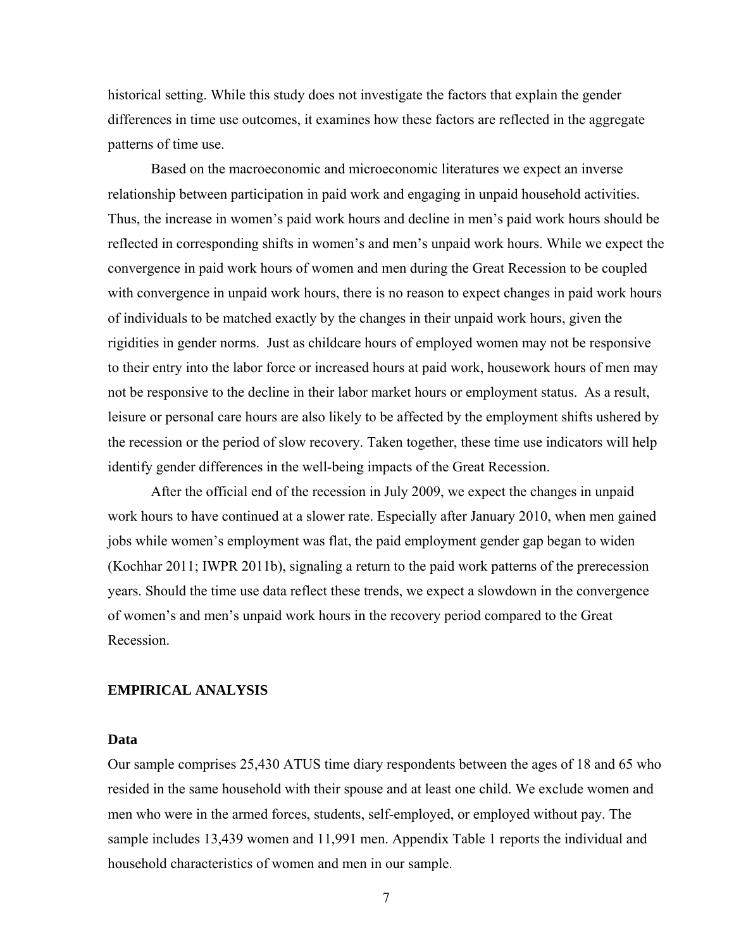historical setting. While this study does not investigate the factors that explain the gender differences in time use outcomes, it examines how these factors are reflected in the aggregate patterns of time use.

Based on the macroeconomic and microeconomic literatures we expect an inverse relationship between participation in paid work and engaging in unpaid household activities. Thus, the increase in women's paid work hours and decline in men's paid work hours should be reflected in corresponding shifts in women's and men's unpaid work hours. While we expect the convergence in paid work hours of women and men during the Great Recession to be coupled with convergence in unpaid work hours, there is no reason to expect changes in paid work hours of individuals to be matched exactly by the changes in their unpaid work hours, given the rigidities in gender norms. Just as childcare hours of employed women may not be responsive to their entry into the labor force or increased hours at paid work, housework hours of men may not be responsive to the decline in their labor market hours or employment status. As a result, leisure or personal care hours are also likely to be affected by the employment shifts ushered by the recession or the period of slow recovery. Taken together, these time use indicators will help identify gender differences in the well-being impacts of the Great Recession.

After the official end of the recession in July 2009, we expect the changes in unpaid work hours to have continued at a slower rate. Especially after January 2010, when men gained jobs while women's employment was flat, the paid employment gender gap began to widen (Kochhar 2011; IWPR 2011b), signaling a return to the paid work patterns of the prerecession years. Should the time use data reflect these trends, we expect a slowdown in the convergence of women's and men's unpaid work hours in the recovery period compared to the Great Recession.

## **EMPIRICAL ANALYSIS**

## **Data**

Our sample comprises 25,430 ATUS time diary respondents between the ages of 18 and 65 who resided in the same household with their spouse and at least one child. We exclude women and men who were in the armed forces, students, self-employed, or employed without pay. The sample includes 13,439 women and 11,991 men. Appendix Table 1 reports the individual and household characteristics of women and men in our sample.

7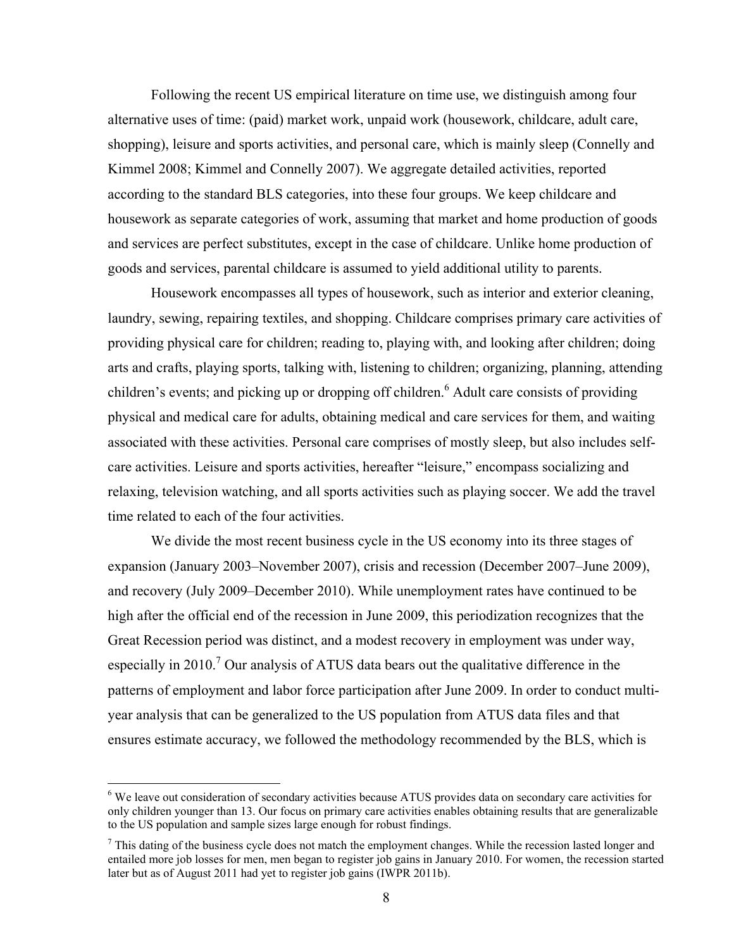Following the recent US empirical literature on time use, we distinguish among four alternative uses of time: (paid) market work, unpaid work (housework, childcare, adult care, shopping), leisure and sports activities, and personal care, which is mainly sleep (Connelly and Kimmel 2008; Kimmel and Connelly 2007). We aggregate detailed activities, reported according to the standard BLS categories, into these four groups. We keep childcare and housework as separate categories of work, assuming that market and home production of goods and services are perfect substitutes, except in the case of childcare. Unlike home production of goods and services, parental childcare is assumed to yield additional utility to parents.

Housework encompasses all types of housework, such as interior and exterior cleaning, laundry, sewing, repairing textiles, and shopping. Childcare comprises primary care activities of providing physical care for children; reading to, playing with, and looking after children; doing arts and crafts, playing sports, talking with, listening to children; organizing, planning, attending children's events; and picking up or dropping off children.<sup>6</sup> Adult care consists of providing physical and medical care for adults, obtaining medical and care services for them, and waiting associated with these activities. Personal care comprises of mostly sleep, but also includes selfcare activities. Leisure and sports activities, hereafter "leisure," encompass socializing and relaxing, television watching, and all sports activities such as playing soccer. We add the travel time related to each of the four activities.

We divide the most recent business cycle in the US economy into its three stages of expansion (January 2003–November 2007), crisis and recession (December 2007–June 2009), and recovery (July 2009–December 2010). While unemployment rates have continued to be high after the official end of the recession in June 2009, this periodization recognizes that the Great Recession period was distinct, and a modest recovery in employment was under way, especially in 2010.<sup>7</sup> Our analysis of ATUS data bears out the qualitative difference in the patterns of employment and labor force participation after June 2009. In order to conduct multiyear analysis that can be generalized to the US population from ATUS data files and that ensures estimate accuracy, we followed the methodology recommended by the BLS, which is

 $\overline{a}$ 

<sup>&</sup>lt;sup>6</sup> We leave out consideration of secondary activities because ATUS provides data on secondary care activities for only children younger than 13. Our focus on primary care activities enables obtaining results that are generalizable to the US population and sample sizes large enough for robust findings.

 $<sup>7</sup>$  This dating of the business cycle does not match the employment changes. While the recession lasted longer and</sup> entailed more job losses for men, men began to register job gains in January 2010. For women, the recession started later but as of August 2011 had yet to register job gains (IWPR 2011b).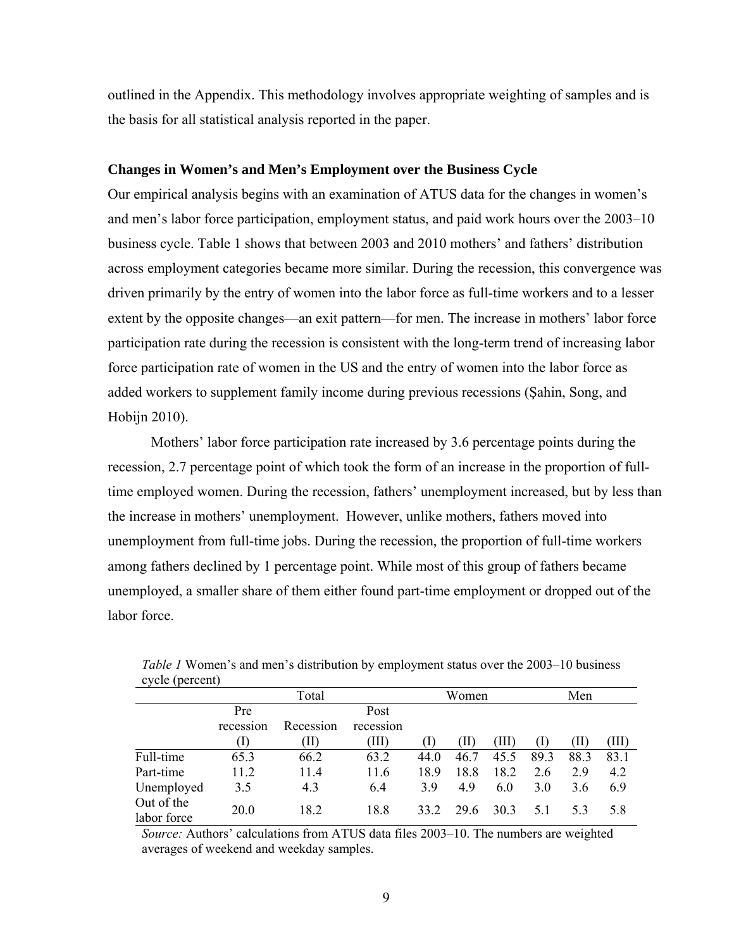outlined in the Appendix. This methodology involves appropriate weighting of samples and is the basis for all statistical analysis reported in the paper.

#### **Changes in Women's and Men's Employment over the Business Cycle**

Our empirical analysis begins with an examination of ATUS data for the changes in women's and men's labor force participation, employment status, and paid work hours over the 2003–10 business cycle. Table 1 shows that between 2003 and 2010 mothers' and fathers' distribution across employment categories became more similar. During the recession, this convergence was driven primarily by the entry of women into the labor force as full-time workers and to a lesser extent by the opposite changes—an exit pattern—for men. The increase in mothers' labor force participation rate during the recession is consistent with the long-term trend of increasing labor force participation rate of women in the US and the entry of women into the labor force as added workers to supplement family income during previous recessions (Şahin, Song, and Hobijn 2010).

Mothers' labor force participation rate increased by 3.6 percentage points during the recession, 2.7 percentage point of which took the form of an increase in the proportion of fulltime employed women. During the recession, fathers' unemployment increased, but by less than the increase in mothers' unemployment. However, unlike mothers, fathers moved into unemployment from full-time jobs. During the recession, the proportion of full-time workers among fathers declined by 1 percentage point. While most of this group of fathers became unemployed, a smaller share of them either found part-time employment or dropped out of the labor force

| $\mathbf{v}$ vn $\mathbf{v}$ (porcent) |             |           |           |      |       |       |      |      |       |
|----------------------------------------|-------------|-----------|-----------|------|-------|-------|------|------|-------|
|                                        |             | Total     |           |      | Women |       |      | Men  |       |
|                                        | Pre<br>Post |           |           |      |       |       |      |      |       |
|                                        | recession   | Recession | recession |      |       |       |      |      |       |
|                                        | T)          | (II)      | (III)     | (T   | (II)  | (III) |      | (II) | (III) |
| Full-time                              | 65.3        | 66.2      | 63.2      | 44.0 | 46.7  | 45.5  | 89.3 | 88.3 | 83.1  |
| Part-time                              | 11.2        | 11.4      | 11.6      | 18.9 | 18.8  | 18.2  | 2.6  | 29   | 4.2   |
| Unemployed                             | 3.5         | 4.3       | 6.4       | 39   | 4.9   | 6.0   | 3.0  | 3.6  | 6.9   |
| Out of the<br>labor force              | 20.0        | 18.2      | 18.8      | 33.2 | 29.6  | 30.3  | 5.1  | 53   | 5.8   |

*Table 1* Women's and men's distribution by employment status over the 2003–10 business cycle (percent)

*Source:* Authors' calculations from ATUS data files 2003–10. The numbers are weighted averages of weekend and weekday samples.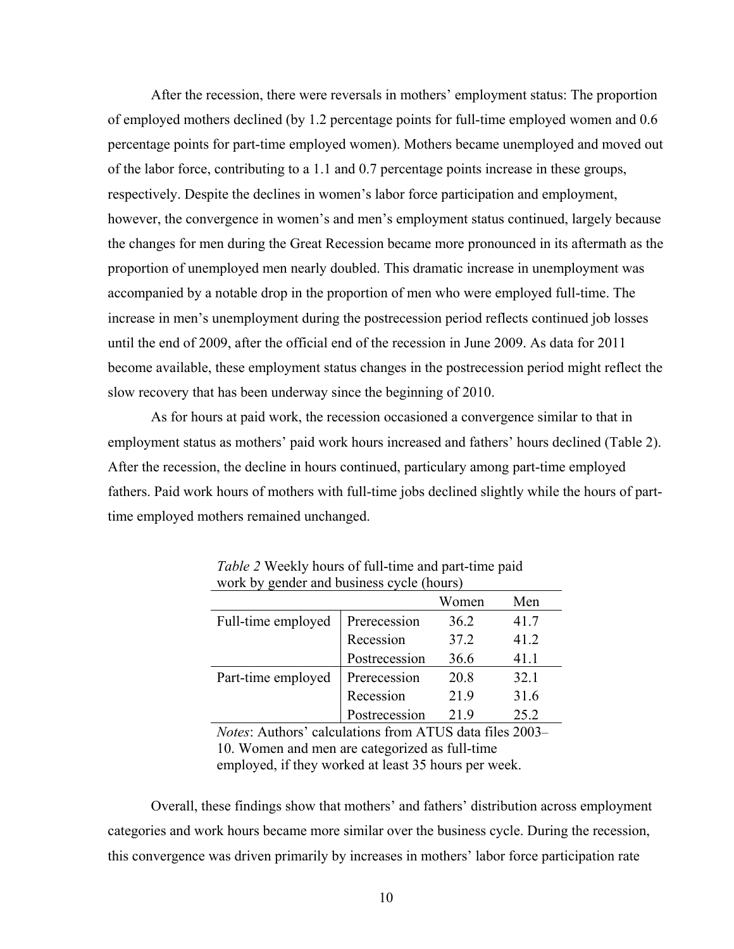After the recession, there were reversals in mothers' employment status: The proportion of employed mothers declined (by 1.2 percentage points for full-time employed women and 0.6 percentage points for part-time employed women). Mothers became unemployed and moved out of the labor force, contributing to a 1.1 and 0.7 percentage points increase in these groups, respectively. Despite the declines in women's labor force participation and employment, however, the convergence in women's and men's employment status continued, largely because the changes for men during the Great Recession became more pronounced in its aftermath as the proportion of unemployed men nearly doubled. This dramatic increase in unemployment was accompanied by a notable drop in the proportion of men who were employed full-time. The increase in men's unemployment during the postrecession period reflects continued job losses until the end of 2009, after the official end of the recession in June 2009. As data for 2011 become available, these employment status changes in the postrecession period might reflect the slow recovery that has been underway since the beginning of 2010.

As for hours at paid work, the recession occasioned a convergence similar to that in employment status as mothers' paid work hours increased and fathers' hours declined (Table 2). After the recession, the decline in hours continued, particulary among part-time employed fathers. Paid work hours of mothers with full-time jobs declined slightly while the hours of parttime employed mothers remained unchanged.

|                    |               | Women | Men  |
|--------------------|---------------|-------|------|
| Full-time employed | Prerecession  | 36.2  | 41.7 |
|                    | Recession     | 37.2  | 41.2 |
|                    | Postrecession | 36.6  | 41.1 |
| Part-time employed | Prerecession  | 20.8  | 32.1 |
|                    | Recession     | 21.9  | 31.6 |
|                    | Postrecession | 219   | 25.2 |

*Table 2* Weekly hours of full-time and part-time paid work by gender and business cycle (hours)

*Notes*: Authors' calculations from ATUS data files 2003– 10. Women and men are categorized as full-time employed, if they worked at least 35 hours per week.

Overall, these findings show that mothers' and fathers' distribution across employment categories and work hours became more similar over the business cycle. During the recession, this convergence was driven primarily by increases in mothers' labor force participation rate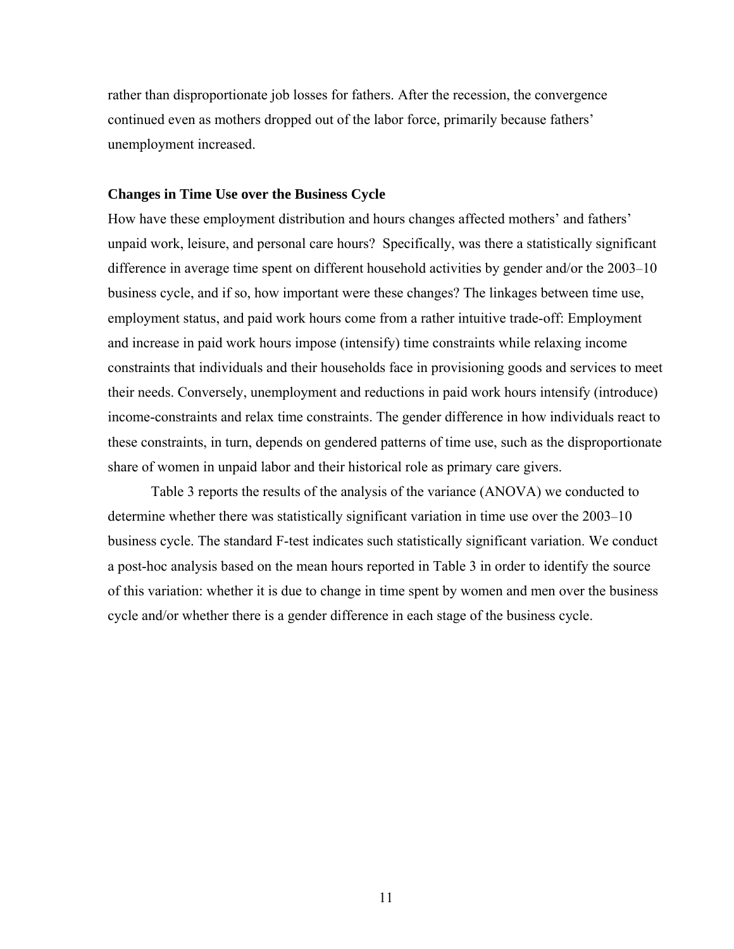rather than disproportionate job losses for fathers. After the recession, the convergence continued even as mothers dropped out of the labor force, primarily because fathers' unemployment increased.

### **Changes in Time Use over the Business Cycle**

How have these employment distribution and hours changes affected mothers' and fathers' unpaid work, leisure, and personal care hours? Specifically, was there a statistically significant difference in average time spent on different household activities by gender and/or the 2003–10 business cycle, and if so, how important were these changes? The linkages between time use, employment status, and paid work hours come from a rather intuitive trade-off: Employment and increase in paid work hours impose (intensify) time constraints while relaxing income constraints that individuals and their households face in provisioning goods and services to meet their needs. Conversely, unemployment and reductions in paid work hours intensify (introduce) income-constraints and relax time constraints. The gender difference in how individuals react to these constraints, in turn, depends on gendered patterns of time use, such as the disproportionate share of women in unpaid labor and their historical role as primary care givers.

 Table 3 reports the results of the analysis of the variance (ANOVA) we conducted to determine whether there was statistically significant variation in time use over the 2003–10 business cycle. The standard F-test indicates such statistically significant variation. We conduct a post-hoc analysis based on the mean hours reported in Table 3 in order to identify the source of this variation: whether it is due to change in time spent by women and men over the business cycle and/or whether there is a gender difference in each stage of the business cycle.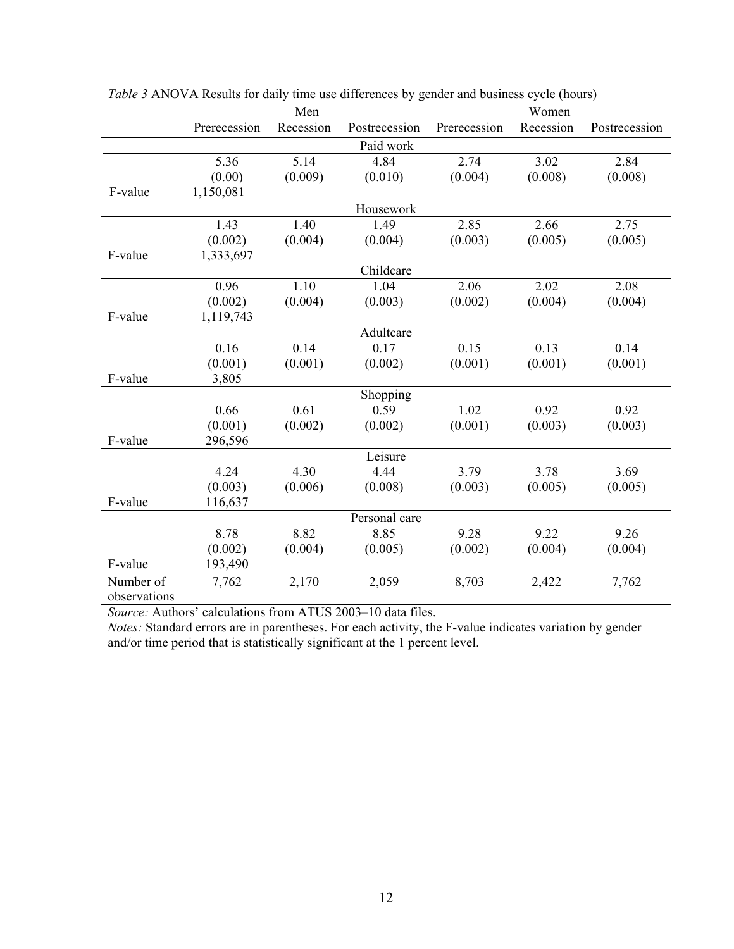|              |              | Men       |               |              | Women     |               |
|--------------|--------------|-----------|---------------|--------------|-----------|---------------|
|              | Prerecession | Recession | Postrecession | Prerecession | Recession | Postrecession |
|              |              |           | Paid work     |              |           |               |
|              | 5.36         | 5.14      | 4.84          | 2.74         | 3.02      | 2.84          |
|              | (0.00)       | (0.009)   | (0.010)       | (0.004)      | (0.008)   | (0.008)       |
| F-value      | 1,150,081    |           |               |              |           |               |
|              |              |           | Housework     |              |           |               |
|              | 1.43         | 1.40      | 1.49          | 2.85         | 2.66      | 2.75          |
|              | (0.002)      | (0.004)   | (0.004)       | (0.003)      | (0.005)   | (0.005)       |
| F-value      | 1,333,697    |           |               |              |           |               |
|              |              |           | Childcare     |              |           |               |
|              | 0.96         | 1.10      | 1.04          | 2.06         | 2.02      | 2.08          |
|              | (0.002)      | (0.004)   | (0.003)       | (0.002)      | (0.004)   | (0.004)       |
| F-value      | 1,119,743    |           |               |              |           |               |
|              |              |           | Adultcare     |              |           |               |
|              | 0.16         | 0.14      | 0.17          | 0.15         | 0.13      | 0.14          |
|              | (0.001)      | (0.001)   | (0.002)       | (0.001)      | (0.001)   | (0.001)       |
| F-value      | 3,805        |           |               |              |           |               |
|              |              |           | Shopping      |              |           |               |
|              | 0.66         | 0.61      | 0.59          | 1.02         | 0.92      | 0.92          |
|              | (0.001)      | (0.002)   | (0.002)       | (0.001)      | (0.003)   | (0.003)       |
| F-value      | 296,596      |           |               |              |           |               |
|              |              |           | Leisure       |              |           |               |
|              | 4.24         | 4.30      | 4.44          | 3.79         | 3.78      | 3.69          |
|              | (0.003)      | (0.006)   | (0.008)       | (0.003)      | (0.005)   | (0.005)       |
| F-value      | 116,637      |           |               |              |           |               |
|              |              |           | Personal care |              |           |               |
|              | 8.78         | 8.82      | 8.85          | 9.28         | 9.22      | 9.26          |
|              | (0.002)      | (0.004)   | (0.005)       | (0.002)      | (0.004)   | (0.004)       |
| F-value      | 193,490      |           |               |              |           |               |
| Number of    | 7,762        | 2,170     | 2,059         | 8,703        | 2,422     | 7,762         |
| observations |              |           |               |              |           |               |

*Table 3* ANOVA Results for daily time use differences by gender and business cycle (hours)

*Source:* Authors' calculations from ATUS 2003–10 data files.

*Notes:* Standard errors are in parentheses. For each activity, the F-value indicates variation by gender and/or time period that is statistically significant at the 1 percent level.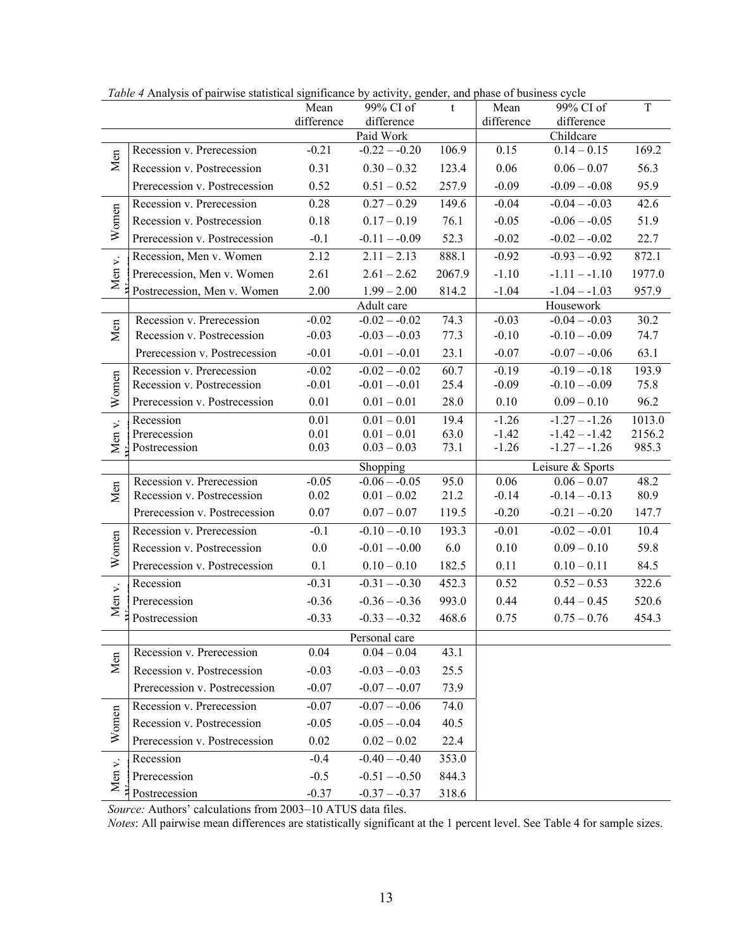|                      | Tuble 4 Analysis of pailwise statistical significance by activity, genuel, and phase of business cycle | Mean       | 99% CI of                | t      | Mean       | 99% CI of                | T      |
|----------------------|--------------------------------------------------------------------------------------------------------|------------|--------------------------|--------|------------|--------------------------|--------|
|                      |                                                                                                        | difference | difference               |        | difference | difference               |        |
|                      |                                                                                                        |            | Paid Work                |        |            | Childcare                |        |
|                      | Recession v. Prerecession                                                                              | $-0.21$    | $-0.22 - -0.20$          | 106.9  | 0.15       | $0.14 - 0.15$            | 169.2  |
| Men                  | Recession v. Postrecession                                                                             | 0.31       | $0.30 - 0.32$            | 123.4  | 0.06       | $0.06 - 0.07$            | 56.3   |
|                      | Prerecession v. Postrecession                                                                          | 0.52       | $0.51 - 0.52$            | 257.9  | $-0.09$    | $-0.09 - -0.08$          | 95.9   |
|                      | Recession v. Prerecession                                                                              | 0.28       | $0.27 - 0.29$            | 149.6  | $-0.04$    | $-0.04 - 0.03$           | 42.6   |
| Women                | Recession v. Postrecession                                                                             | 0.18       | $0.17 - 0.19$            | 76.1   | $-0.05$    | $-0.06 - 0.05$           | 51.9   |
|                      | Prerecession v. Postrecession                                                                          | $-0.1$     | $-0.11 - -0.09$          | 52.3   | $-0.02$    | $-0.02 - 0.02$           | 22.7   |
|                      | Recession, Men v. Women                                                                                | 2.12       | $2.11 - 2.13$            | 888.1  | $-0.92$    | $-0.93 - 0.92$           | 872.1  |
| Men v.               | Prerecession, Men v. Women                                                                             | 2.61       | $2.61 - 2.62$            | 2067.9 | $-1.10$    | $-1.11 - -1.10$          | 1977.0 |
|                      | Postrecession, Men v. Women                                                                            | 2.00       | $1.99 - 2.00$            | 814.2  | $-1.04$    | $-1.04 - 1.03$           | 957.9  |
|                      |                                                                                                        |            | Adult care               |        |            | Housework                |        |
| Men                  | Recession v. Prerecession                                                                              | $-0.02$    | $-0.02 - -0.02$          | 74.3   | $-0.03$    | $-0.04 - 0.03$           | 30.2   |
|                      | Recession v. Postrecession                                                                             | $-0.03$    | $-0.03 - 0.03$           | 77.3   | $-0.10$    | $-0.10 - -0.09$          | 74.7   |
|                      | Prerecession v. Postrecession                                                                          | $-0.01$    | $-0.01 - -0.01$          | 23.1   | $-0.07$    | $-0.07 - -0.06$          | 63.1   |
|                      | Recession v. Prerecession                                                                              | $-0.02$    | $-0.02 - 0.02$           | 60.7   | $-0.19$    | $-0.19 - -0.18$          | 193.9  |
| Women                | Recession v. Postrecession                                                                             | $-0.01$    | $-0.01 - -0.01$          | 25.4   | $-0.09$    | $-0.10 - -0.09$          | 75.8   |
|                      | Prerecession v. Postrecession                                                                          | 0.01       | $0.01 - 0.01$            | 28.0   | 0.10       | $0.09 - 0.10$            | 96.2   |
|                      | Recession                                                                                              | 0.01       | $0.01 - 0.01$            | 19.4   | $-1.26$    | $-1.27 - -1.26$          | 1013.0 |
| Men v.               | Prerecession                                                                                           | 0.01       | $0.01 - 0.01$            | 63.0   | $-1.42$    | $-1.42 - -1.42$          | 2156.2 |
|                      | Postrecession                                                                                          | 0.03       | $0.03 - 0.03$            | 73.1   | $-1.26$    | $-1.27 - -1.26$          | 985.3  |
|                      |                                                                                                        |            | Shopping                 |        |            | Leisure & Sports         |        |
| Men                  | Recession v. Prerecession                                                                              | $-0.05$    | $-0.06 - -0.05$          | 95.0   | 0.06       | $\overline{0.06} - 0.07$ | 48.2   |
|                      | Recession v. Postrecession                                                                             | 0.02       | $0.01 - 0.02$            | 21.2   | $-0.14$    | $-0.14 - -0.13$          | 80.9   |
|                      | Prerecession v. Postrecession                                                                          | 0.07       | $0.07 - 0.07$            | 119.5  | $-0.20$    | $-0.21 - -0.20$          | 147.7  |
|                      | Recession v. Prerecession                                                                              | $-0.1$     | $-0.10 - -0.10$          | 193.3  | $-0.01$    | $-0.02 - 0.01$           | 10.4   |
| Women                | Recession v. Postrecession                                                                             | 0.0        | $-0.01 - -0.00$          | 6.0    | 0.10       | $0.09 - 0.10$            | 59.8   |
|                      | Prerecession v. Postrecession                                                                          | 0.1        | $0.10 - 0.10$            | 182.5  | 0.11       | $0.10 - 0.11$            | 84.5   |
|                      | Recession                                                                                              | $-0.31$    | $-0.31 - -0.30$          | 452.3  | 0.52       | $0.52 - 0.53$            | 322.6  |
| Men v.               | Prerecession                                                                                           | $-0.36$    | $-0.36 - -0.36$          | 993.0  | 0.44       | $0.44 - 0.45$            | 520.6  |
|                      | Postrecession                                                                                          | $-0.33$    | $-0.33 - -0.32$          | 468.6  | 0.75       | $0.75 - 0.76$            | 454.3  |
|                      |                                                                                                        |            | Personal care            |        |            |                          |        |
| Men                  | Recession v. Prerecession                                                                              | 0.04       | $\overline{0.04} - 0.04$ | 43.1   |            |                          |        |
|                      | Recession v. Postrecession                                                                             | $-0.03$    | $-0.03 - -0.03$          | 25.5   |            |                          |        |
|                      | Prerecession v. Postrecession                                                                          | $-0.07$    | $-0.07 - -0.07$          | 73.9   |            |                          |        |
|                      | Recession v. Prerecession                                                                              | $-0.07$    | $-0.07 - -0.06$          | 74.0   |            |                          |        |
| Women                | Recession v. Postrecession                                                                             | $-0.05$    | $-0.05 - -0.04$          | 40.5   |            |                          |        |
|                      | Prerecession v. Postrecession                                                                          | 0.02       | $0.02 - 0.02$            | 22.4   |            |                          |        |
| $\ddot{\phantom{0}}$ | Recession                                                                                              | $-0.4$     | $-0.40 - 0.40$           | 353.0  |            |                          |        |
| Men <sup>-</sup>     | Prerecession                                                                                           | $-0.5$     | $-0.51 - -0.50$          | 844.3  |            |                          |        |
|                      | Postrecession                                                                                          | $-0.37$    | $-0.37 - -0.37$          | 318.6  |            |                          |        |

*Table 4* Analysis of pairwise statistical significance by activity, gender, and phase of business cycle

*Source:* Authors' calculations from 2003–10 ATUS data files.

*Notes*: All pairwise mean differences are statistically significant at the 1 percent level. See Table 4 for sample sizes.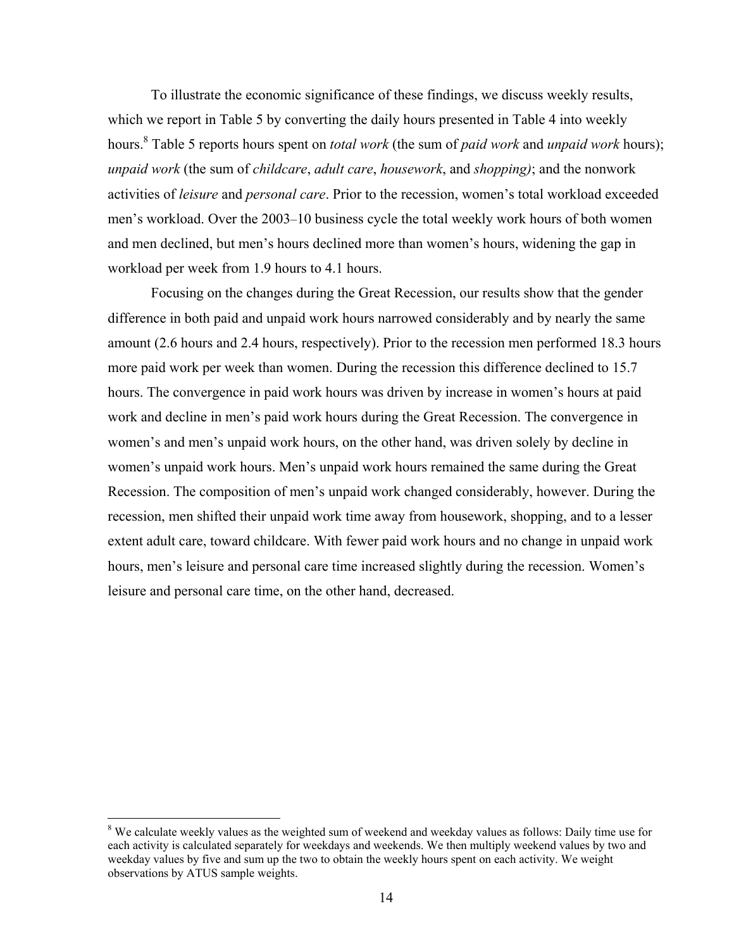To illustrate the economic significance of these findings, we discuss weekly results, which we report in Table 5 by converting the daily hours presented in Table 4 into weekly hours.8 Table 5 reports hours spent on *total work* (the sum of *paid work* and *unpaid work* hours); *unpaid work* (the sum of *childcare*, *adult care*, *housework*, and *shopping)*; and the nonwork activities of *leisure* and *personal care*. Prior to the recession, women's total workload exceeded men's workload. Over the 2003–10 business cycle the total weekly work hours of both women and men declined, but men's hours declined more than women's hours, widening the gap in workload per week from 1.9 hours to 4.1 hours.

Focusing on the changes during the Great Recession, our results show that the gender difference in both paid and unpaid work hours narrowed considerably and by nearly the same amount (2.6 hours and 2.4 hours, respectively). Prior to the recession men performed 18.3 hours more paid work per week than women. During the recession this difference declined to 15.7 hours. The convergence in paid work hours was driven by increase in women's hours at paid work and decline in men's paid work hours during the Great Recession. The convergence in women's and men's unpaid work hours, on the other hand, was driven solely by decline in women's unpaid work hours. Men's unpaid work hours remained the same during the Great Recession. The composition of men's unpaid work changed considerably, however. During the recession, men shifted their unpaid work time away from housework, shopping, and to a lesser extent adult care, toward childcare. With fewer paid work hours and no change in unpaid work hours, men's leisure and personal care time increased slightly during the recession. Women's leisure and personal care time, on the other hand, decreased.

 $\overline{a}$ 

<sup>&</sup>lt;sup>8</sup> We calculate weekly values as the weighted sum of weekend and weekday values as follows: Daily time use for each activity is calculated separately for weekdays and weekends. We then multiply weekend values by two and weekday values by five and sum up the two to obtain the weekly hours spent on each activity. We weight observations by ATUS sample weights.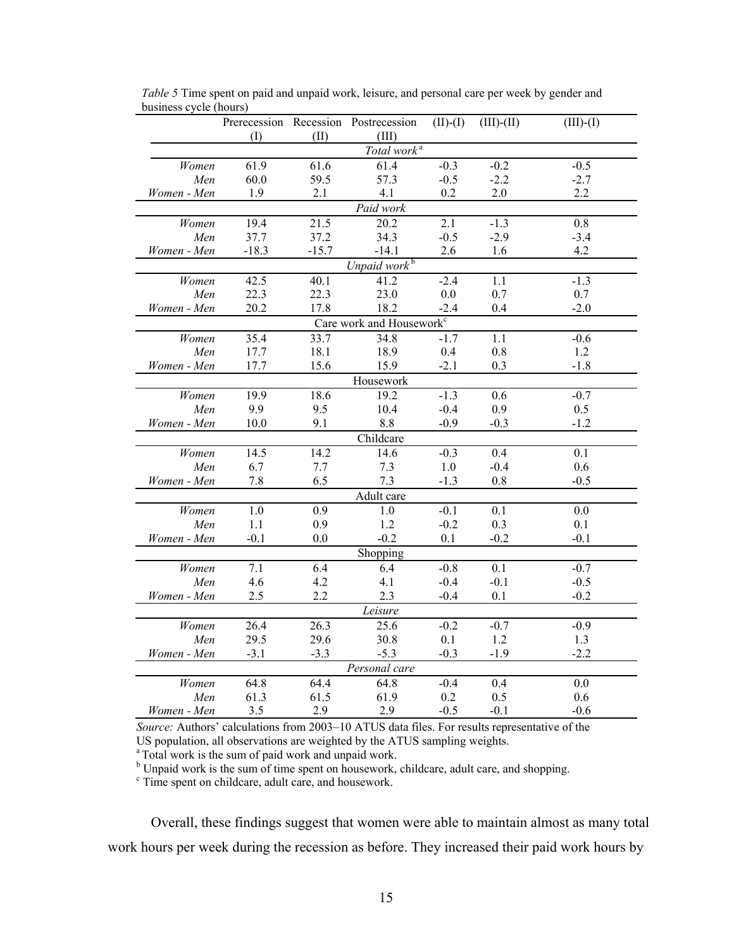|             |         |                   | Prerecession Recession Postrecession | $(II)-(I)$ | $(III)-(II)$ | $(III)-(I)$ |
|-------------|---------|-------------------|--------------------------------------|------------|--------------|-------------|
|             | (I)     | (II)              | (III)                                |            |              |             |
|             |         |                   | Total work <sup>a</sup>              |            |              |             |
| Women       | 61.9    | 61.6              | 61.4                                 | $-0.3$     | $-0.2$       | $-0.5$      |
| Men         | 60.0    | 59.5              | 57.3                                 | $-0.5$     | $-2.2$       | $-2.7$      |
| Women - Men | 1.9     | 2.1               | 4.1                                  | 0.2        | 2.0          | 2.2         |
|             |         |                   | Paid work                            |            |              |             |
| Women       | 19.4    | $\overline{21.5}$ | 20.2                                 | 2.1        | $-1.3$       | 0.8         |
| Men         | 37.7    | 37.2              | 34.3                                 | $-0.5$     | $-2.9$       | $-3.4$      |
| Women - Men | $-18.3$ | $-15.7$           | $-14.1$                              | 2.6        | 1.6          | 4.2         |
|             |         |                   | Unpaid work <sup>b</sup>             |            |              |             |
| Women       | 42.5    | 40.1              | 41.2                                 | $-2.4$     | 1.1          | $-1.3$      |
| Men         | 22.3    | 22.3              | 23.0                                 | 0.0        | 0.7          | 0.7         |
| Women - Men | 20.2    | 17.8              | 18.2                                 | $-2.4$     | 0.4          | $-2.0$      |
|             |         |                   | Care work and Housework <sup>c</sup> |            |              |             |
| Women       | 35.4    | 33.7              | 34.8                                 | $-1.7$     | 1.1          | $-0.6$      |
| Men         | 17.7    | 18.1              | 18.9                                 | 0.4        | $0.8\,$      | 1.2         |
| Women - Men | 17.7    | 15.6              | 15.9                                 | $-2.1$     | 0.3          | $-1.8$      |
|             |         |                   | Housework                            |            |              |             |
| Women       | 19.9    | 18.6              | 19.2                                 | $-1.3$     | 0.6          | $-0.7$      |
| Men         | 9.9     | 9.5               | 10.4                                 | $-0.4$     | 0.9          | 0.5         |
| Women - Men | 10.0    | 9.1               | 8.8                                  | $-0.9$     | $-0.3$       | $-1.2$      |
|             |         |                   | Childcare                            |            |              |             |
| Women       | 14.5    | 14.2              | 14.6                                 | $-0.3$     | 0.4          | 0.1         |
| Men         | 6.7     | 7.7               | 7.3                                  | 1.0        | $-0.4$       | 0.6         |
| Women - Men | 7.8     | 6.5               | 7.3                                  | $-1.3$     | 0.8          | $-0.5$      |
|             |         |                   | Adult care                           |            |              |             |
| Women       | 1.0     | 0.9               | 1.0                                  | $-0.1$     | 0.1          | 0.0         |
| Men         | 1.1     | 0.9               | 1.2                                  | $-0.2$     | 0.3          | 0.1         |
| Women - Men | $-0.1$  | 0.0               | $-0.2$                               | 0.1        | $-0.2$       | $-0.1$      |
|             |         |                   | Shopping                             |            |              |             |
| Women       | 7.1     | 6.4               | 6.4                                  | $-0.8$     | 0.1          | $-0.7$      |
| Men         | 4.6     | 4.2               | 4.1                                  | $-0.4$     | $-0.1$       | $-0.5$      |
| Women - Men | 2.5     | 2.2               | 2.3                                  | $-0.4$     | 0.1          | $-0.2$      |
|             |         |                   | Leisure                              |            |              |             |
| Women       | 26.4    | 26.3              | 25.6                                 | $-0.2$     | $-0.7$       | $-0.9$      |
| Men         | 29.5    | 29.6              | 30.8                                 | 0.1        | 1.2          | 1.3         |
| Women - Men | $-3.1$  | $-3.3$            | $-5.3$                               | $-0.3$     | $-1.9$       | $-2.2$      |
|             |         |                   | Personal care                        |            |              |             |
| Women       | 64.8    | 64.4              | 64.8                                 | $-0.4$     | 0.4          | 0.0         |
| Men         | 61.3    | 61.5              | 61.9                                 | 0.2        | 0.5          | 0.6         |
| Women - Men | 3.5     | 2.9               | 2.9                                  | $-0.5$     | $-0.1$       | $-0.6$      |

*Table 5* Time spent on paid and unpaid work, leisure, and personal care per week by gender and business cycle (hours)

*Source:* Authors' calculations from 2003–10 ATUS data files. For results representative of the US population, all observations are weighted by the ATUS sampling weights.

<sup>a</sup> Total work is the sum of paid work and unpaid work.

<sup>b</sup> Unpaid work is the sum of time spent on housework, childcare, adult care, and shopping.

<sup>c</sup> Time spent on childcare, adult care, and housework.

Overall, these findings suggest that women were able to maintain almost as many total work hours per week during the recession as before. They increased their paid work hours by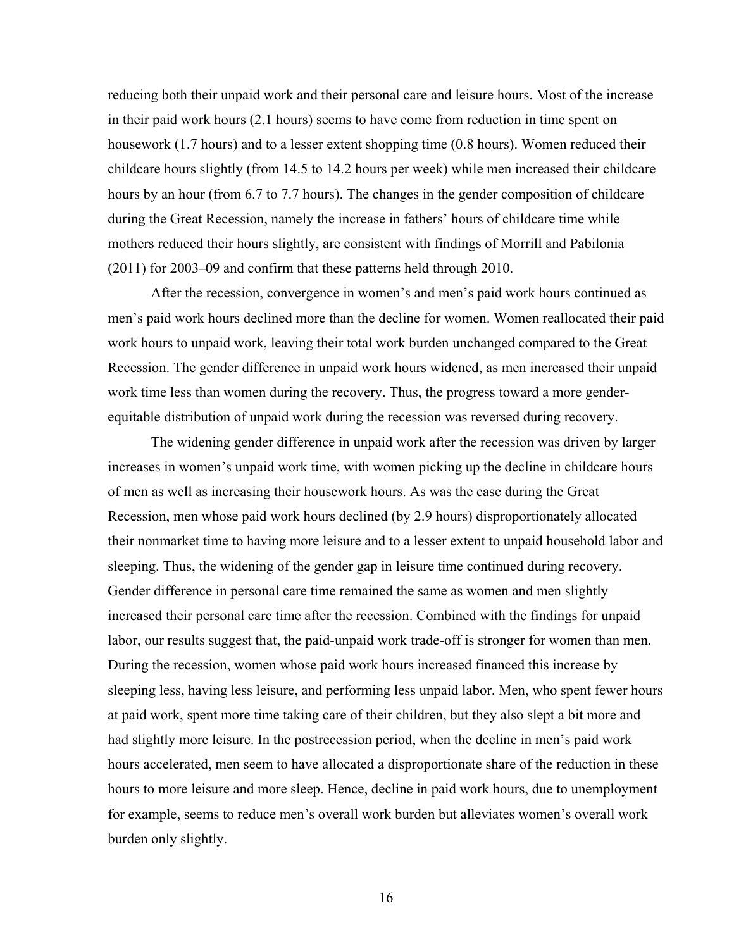reducing both their unpaid work and their personal care and leisure hours. Most of the increase in their paid work hours (2.1 hours) seems to have come from reduction in time spent on housework (1.7 hours) and to a lesser extent shopping time (0.8 hours). Women reduced their childcare hours slightly (from 14.5 to 14.2 hours per week) while men increased their childcare hours by an hour (from 6.7 to 7.7 hours). The changes in the gender composition of childcare during the Great Recession, namely the increase in fathers' hours of childcare time while mothers reduced their hours slightly, are consistent with findings of Morrill and Pabilonia (2011) for 2003–09 and confirm that these patterns held through 2010.

 After the recession, convergence in women's and men's paid work hours continued as men's paid work hours declined more than the decline for women. Women reallocated their paid work hours to unpaid work, leaving their total work burden unchanged compared to the Great Recession. The gender difference in unpaid work hours widened, as men increased their unpaid work time less than women during the recovery. Thus, the progress toward a more genderequitable distribution of unpaid work during the recession was reversed during recovery.

The widening gender difference in unpaid work after the recession was driven by larger increases in women's unpaid work time, with women picking up the decline in childcare hours of men as well as increasing their housework hours. As was the case during the Great Recession, men whose paid work hours declined (by 2.9 hours) disproportionately allocated their nonmarket time to having more leisure and to a lesser extent to unpaid household labor and sleeping. Thus, the widening of the gender gap in leisure time continued during recovery. Gender difference in personal care time remained the same as women and men slightly increased their personal care time after the recession. Combined with the findings for unpaid labor, our results suggest that, the paid-unpaid work trade-off is stronger for women than men. During the recession, women whose paid work hours increased financed this increase by sleeping less, having less leisure, and performing less unpaid labor. Men, who spent fewer hours at paid work, spent more time taking care of their children, but they also slept a bit more and had slightly more leisure. In the postrecession period, when the decline in men's paid work hours accelerated, men seem to have allocated a disproportionate share of the reduction in these hours to more leisure and more sleep. Hence, decline in paid work hours, due to unemployment for example, seems to reduce men's overall work burden but alleviates women's overall work burden only slightly.

16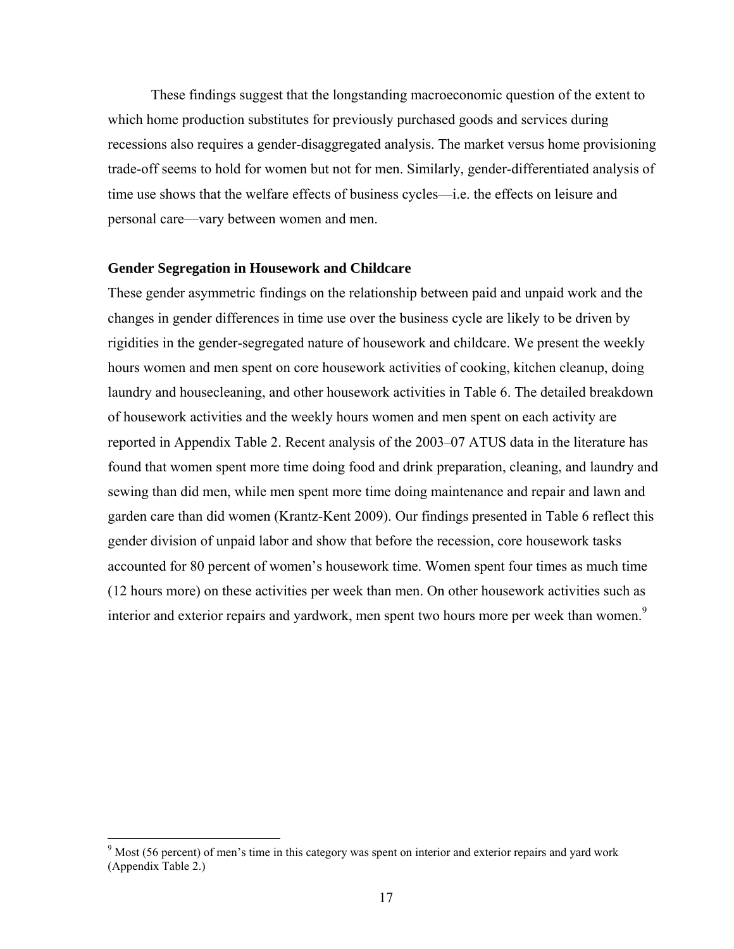These findings suggest that the longstanding macroeconomic question of the extent to which home production substitutes for previously purchased goods and services during recessions also requires a gender-disaggregated analysis. The market versus home provisioning trade-off seems to hold for women but not for men. Similarly, gender-differentiated analysis of time use shows that the welfare effects of business cycles—i.e. the effects on leisure and personal care—vary between women and men.

#### **Gender Segregation in Housework and Childcare**

These gender asymmetric findings on the relationship between paid and unpaid work and the changes in gender differences in time use over the business cycle are likely to be driven by rigidities in the gender-segregated nature of housework and childcare. We present the weekly hours women and men spent on core housework activities of cooking, kitchen cleanup, doing laundry and housecleaning, and other housework activities in Table 6. The detailed breakdown of housework activities and the weekly hours women and men spent on each activity are reported in Appendix Table 2. Recent analysis of the 2003–07 ATUS data in the literature has found that women spent more time doing food and drink preparation, cleaning, and laundry and sewing than did men, while men spent more time doing maintenance and repair and lawn and garden care than did women (Krantz-Kent 2009). Our findings presented in Table 6 reflect this gender division of unpaid labor and show that before the recession, core housework tasks accounted for 80 percent of women's housework time. Women spent four times as much time (12 hours more) on these activities per week than men. On other housework activities such as interior and exterior repairs and yardwork, men spent two hours more per week than women.<sup>9</sup>

<u>.</u>

<sup>&</sup>lt;sup>9</sup> Most (56 percent) of men's time in this category was spent on interior and exterior repairs and yard work (Appendix Table 2.)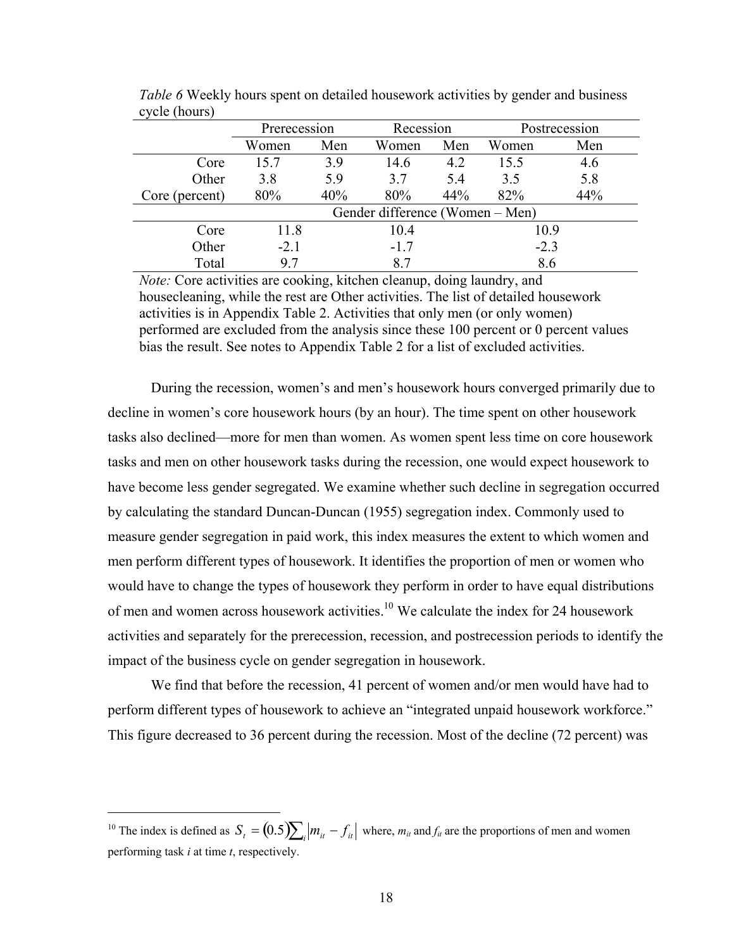|                | Prerecession |     |                                 | Recession |        | Postrecession |
|----------------|--------------|-----|---------------------------------|-----------|--------|---------------|
|                | Women        | Men | Women                           | Men       | Women  | Men           |
| Core           | 15.7         | 3.9 | 14.6                            | 4.2       | 15.5   | 4.6           |
| Other          | 3.8          | 5.9 | 37                              | 5.4       | 3.5    | 5.8           |
| Core (percent) | 80%          | 40% | 80%                             | 44%       | 82%    | 44%           |
|                |              |     | Gender difference (Women – Men) |           |        |               |
| Core           | 11.8         |     | 10.4                            |           | 10.9   |               |
| Other          | $-2.1$       |     | $-1.7$                          |           | $-2.3$ |               |
| Total          | 97           |     | 87                              |           | 8.6    |               |

*Table 6* Weekly hours spent on detailed housework activities by gender and business cycle (hours)

*Note:* Core activities are cooking, kitchen cleanup, doing laundry, and housecleaning, while the rest are Other activities. The list of detailed housework activities is in Appendix Table 2. Activities that only men (or only women) performed are excluded from the analysis since these 100 percent or 0 percent values bias the result. See notes to Appendix Table 2 for a list of excluded activities.

During the recession, women's and men's housework hours converged primarily due to decline in women's core housework hours (by an hour). The time spent on other housework tasks also declined—more for men than women. As women spent less time on core housework tasks and men on other housework tasks during the recession, one would expect housework to have become less gender segregated. We examine whether such decline in segregation occurred by calculating the standard Duncan-Duncan (1955) segregation index. Commonly used to measure gender segregation in paid work, this index measures the extent to which women and men perform different types of housework. It identifies the proportion of men or women who would have to change the types of housework they perform in order to have equal distributions of men and women across housework activities.<sup>10</sup> We calculate the index for 24 housework activities and separately for the prerecession, recession, and postrecession periods to identify the impact of the business cycle on gender segregation in housework.

We find that before the recession, 41 percent of women and/or men would have had to perform different types of housework to achieve an "integrated unpaid housework workforce." This figure decreased to 36 percent during the recession. Most of the decline (72 percent) was

 $\overline{a}$ 

<sup>&</sup>lt;sup>10</sup> The index is defined as  $S_t = (0.5) \sum_i |m_{it} - f_{it}|$  where,  $m_{it}$  and  $f_{it}$  are the proportions of men and women performing task *i* at time *t*, respectively.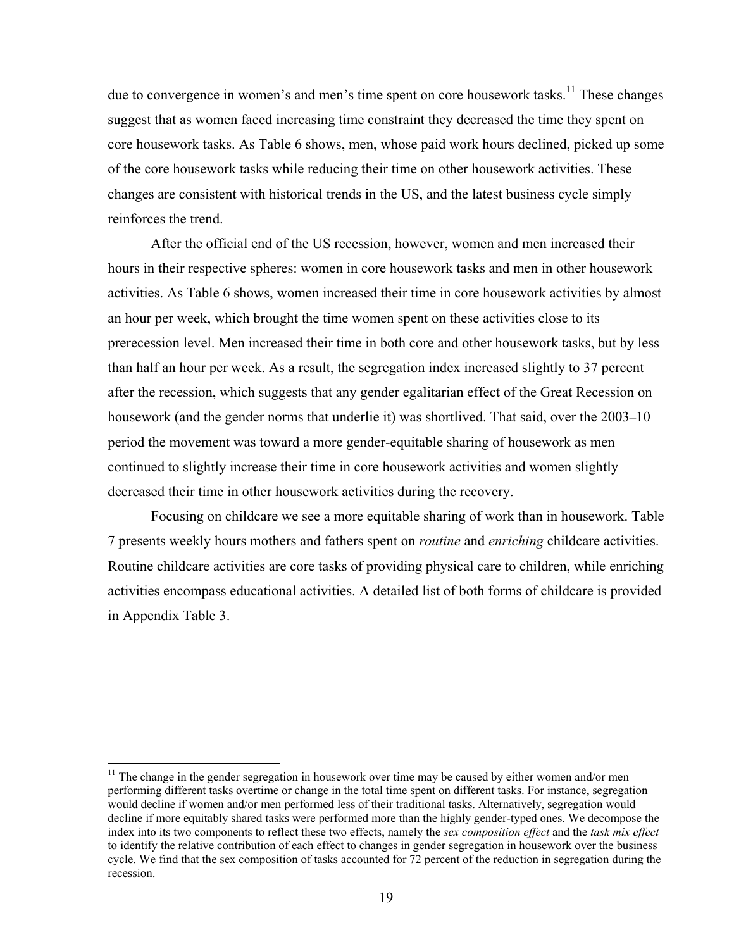due to convergence in women's and men's time spent on core housework tasks.<sup>11</sup> These changes suggest that as women faced increasing time constraint they decreased the time they spent on core housework tasks. As Table 6 shows, men, whose paid work hours declined, picked up some of the core housework tasks while reducing their time on other housework activities. These changes are consistent with historical trends in the US, and the latest business cycle simply reinforces the trend.

After the official end of the US recession, however, women and men increased their hours in their respective spheres: women in core housework tasks and men in other housework activities. As Table 6 shows, women increased their time in core housework activities by almost an hour per week, which brought the time women spent on these activities close to its prerecession level. Men increased their time in both core and other housework tasks, but by less than half an hour per week. As a result, the segregation index increased slightly to 37 percent after the recession, which suggests that any gender egalitarian effect of the Great Recession on housework (and the gender norms that underlie it) was shortlived. That said, over the 2003–10 period the movement was toward a more gender-equitable sharing of housework as men continued to slightly increase their time in core housework activities and women slightly decreased their time in other housework activities during the recovery.

Focusing on childcare we see a more equitable sharing of work than in housework. Table 7 presents weekly hours mothers and fathers spent on *routine* and *enriching* childcare activities. Routine childcare activities are core tasks of providing physical care to children, while enriching activities encompass educational activities. A detailed list of both forms of childcare is provided in Appendix Table 3.

<u>.</u>

 $<sup>11</sup>$  The change in the gender segregation in housework over time may be caused by either women and/or men</sup> performing different tasks overtime or change in the total time spent on different tasks. For instance, segregation would decline if women and/or men performed less of their traditional tasks. Alternatively, segregation would decline if more equitably shared tasks were performed more than the highly gender-typed ones. We decompose the index into its two components to reflect these two effects, namely the *sex composition effect* and the *task mix effect* to identify the relative contribution of each effect to changes in gender segregation in housework over the business cycle. We find that the sex composition of tasks accounted for 72 percent of the reduction in segregation during the recession.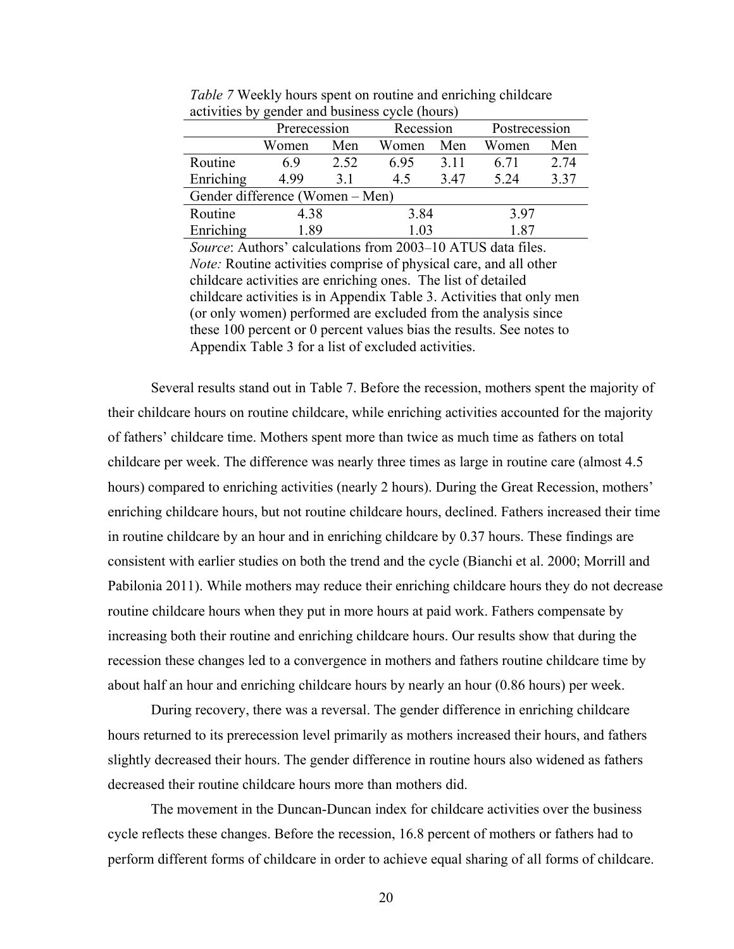|                                 | Prerecession |      | Recession  |      | Postrecession |      |
|---------------------------------|--------------|------|------------|------|---------------|------|
|                                 | Women        | Men  | Women      | Men  | Women         | Men  |
| Routine                         | 69           | 2.52 | 6.95       | 3.11 | 6.71          | 2.74 |
| Enriching                       | 4.99         | 3.1  | 3.47<br>45 |      | 5.24          | 3.37 |
| Gender difference (Women – Men) |              |      |            |      |               |      |
| Routine                         | 4.38         |      | 3.84       |      | 3.97          |      |
| Enriching                       | <b>1.89</b>  |      | 1.03       |      | 187           |      |

*Table 7* Weekly hours spent on routine and enriching childcare activities by gender and business cycle (hours)

*Source*: Authors' calculations from 2003–10 ATUS data files. *Note:* Routine activities comprise of physical care, and all other childcare activities are enriching ones. The list of detailed childcare activities is in Appendix Table 3. Activities that only men (or only women) performed are excluded from the analysis since these 100 percent or 0 percent values bias the results. See notes to Appendix Table 3 for a list of excluded activities.

Several results stand out in Table 7. Before the recession, mothers spent the majority of their childcare hours on routine childcare, while enriching activities accounted for the majority of fathers' childcare time. Mothers spent more than twice as much time as fathers on total childcare per week. The difference was nearly three times as large in routine care (almost 4.5 hours) compared to enriching activities (nearly 2 hours). During the Great Recession, mothers' enriching childcare hours, but not routine childcare hours, declined. Fathers increased their time in routine childcare by an hour and in enriching childcare by 0.37 hours. These findings are consistent with earlier studies on both the trend and the cycle (Bianchi et al. 2000; Morrill and Pabilonia 2011). While mothers may reduce their enriching childcare hours they do not decrease routine childcare hours when they put in more hours at paid work. Fathers compensate by increasing both their routine and enriching childcare hours. Our results show that during the recession these changes led to a convergence in mothers and fathers routine childcare time by about half an hour and enriching childcare hours by nearly an hour (0.86 hours) per week.

 During recovery, there was a reversal. The gender difference in enriching childcare hours returned to its prerecession level primarily as mothers increased their hours, and fathers slightly decreased their hours. The gender difference in routine hours also widened as fathers decreased their routine childcare hours more than mothers did.

 The movement in the Duncan-Duncan index for childcare activities over the business cycle reflects these changes. Before the recession, 16.8 percent of mothers or fathers had to perform different forms of childcare in order to achieve equal sharing of all forms of childcare.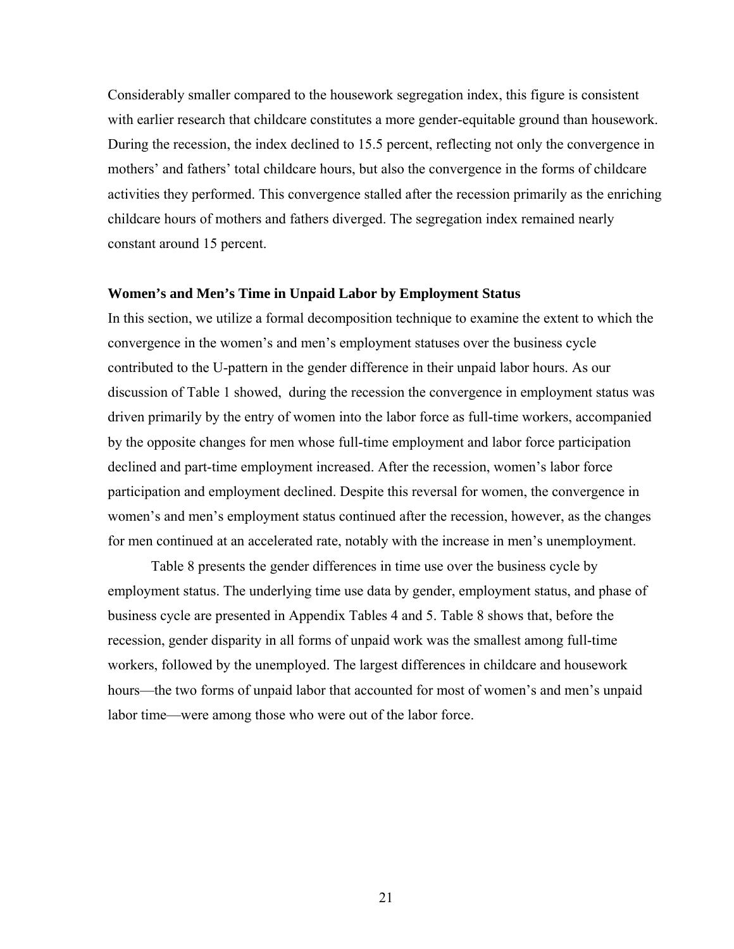Considerably smaller compared to the housework segregation index, this figure is consistent with earlier research that childcare constitutes a more gender-equitable ground than housework. During the recession, the index declined to 15.5 percent, reflecting not only the convergence in mothers' and fathers' total childcare hours, but also the convergence in the forms of childcare activities they performed. This convergence stalled after the recession primarily as the enriching childcare hours of mothers and fathers diverged. The segregation index remained nearly constant around 15 percent.

### **Women's and Men's Time in Unpaid Labor by Employment Status**

In this section, we utilize a formal decomposition technique to examine the extent to which the convergence in the women's and men's employment statuses over the business cycle contributed to the U-pattern in the gender difference in their unpaid labor hours. As our discussion of Table 1 showed, during the recession the convergence in employment status was driven primarily by the entry of women into the labor force as full-time workers, accompanied by the opposite changes for men whose full-time employment and labor force participation declined and part-time employment increased. After the recession, women's labor force participation and employment declined. Despite this reversal for women, the convergence in women's and men's employment status continued after the recession, however, as the changes for men continued at an accelerated rate, notably with the increase in men's unemployment.

 Table 8 presents the gender differences in time use over the business cycle by employment status. The underlying time use data by gender, employment status, and phase of business cycle are presented in Appendix Tables 4 and 5. Table 8 shows that, before the recession, gender disparity in all forms of unpaid work was the smallest among full-time workers, followed by the unemployed. The largest differences in childcare and housework hours—the two forms of unpaid labor that accounted for most of women's and men's unpaid labor time—were among those who were out of the labor force.

21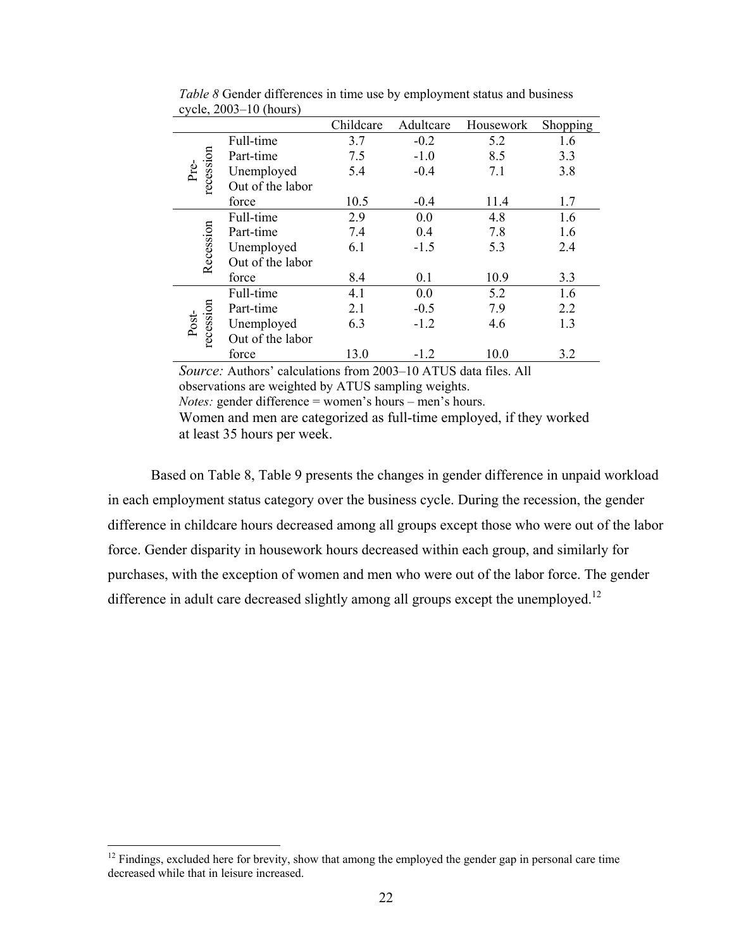|                    |                  | Childcare | Adultcare | Housework | Shopping |
|--------------------|------------------|-----------|-----------|-----------|----------|
|                    | Full-time        | 3.7       | $-0.2$    | 5.2       | 1.6      |
|                    | Part-time        | 7.5       | $-1.0$    | 8.5       | 3.3      |
| Pre-               | Unemployed       | 5.4       | $-0.4$    | 7.1       | 3.8      |
| recession          | Out of the labor |           |           |           |          |
|                    | force            | 10.5      | $-0.4$    | 11.4      | 1.7      |
|                    | Full-time        | 2.9       | 0.0       | 4.8       | 1.6      |
|                    | Part-time        | 7.4       | 0.4       | 7.8       | 1.6      |
|                    | Unemployed       | 6.1       | $-1.5$    | 5.3       | 2.4      |
| Recession          | Out of the labor |           |           |           |          |
|                    | force            | 8.4       | 0.1       | 10.9      | 3.3      |
|                    | Full-time        | 4.1       | 0.0       | 5.2       | 1.6      |
|                    | Part-time        | 2.1       | $-0.5$    | 7.9       | 2.2      |
| recession<br>Post- | Unemployed       | 6.3       | $-1.2$    | 4.6       | 1.3      |
|                    | Out of the labor |           |           |           |          |
|                    | force            | 13.0      | $-1.2$    | 10.0      | 3.2      |

*Table 8* Gender differences in time use by employment status and business cycle,  $2003-10$  (hours)

*Source:* Authors' calculations from 2003–10 ATUS data files. All observations are weighted by ATUS sampling weights.

*Notes:* gender difference = women's hours – men's hours.

Women and men are categorized as full-time employed, if they worked at least 35 hours per week.

Based on Table 8, Table 9 presents the changes in gender difference in unpaid workload in each employment status category over the business cycle. During the recession, the gender difference in childcare hours decreased among all groups except those who were out of the labor force. Gender disparity in housework hours decreased within each group, and similarly for purchases, with the exception of women and men who were out of the labor force. The gender difference in adult care decreased slightly among all groups except the unemployed.<sup>12</sup>

 $\overline{a}$ 

 $12$  Findings, excluded here for brevity, show that among the employed the gender gap in personal care time decreased while that in leisure increased.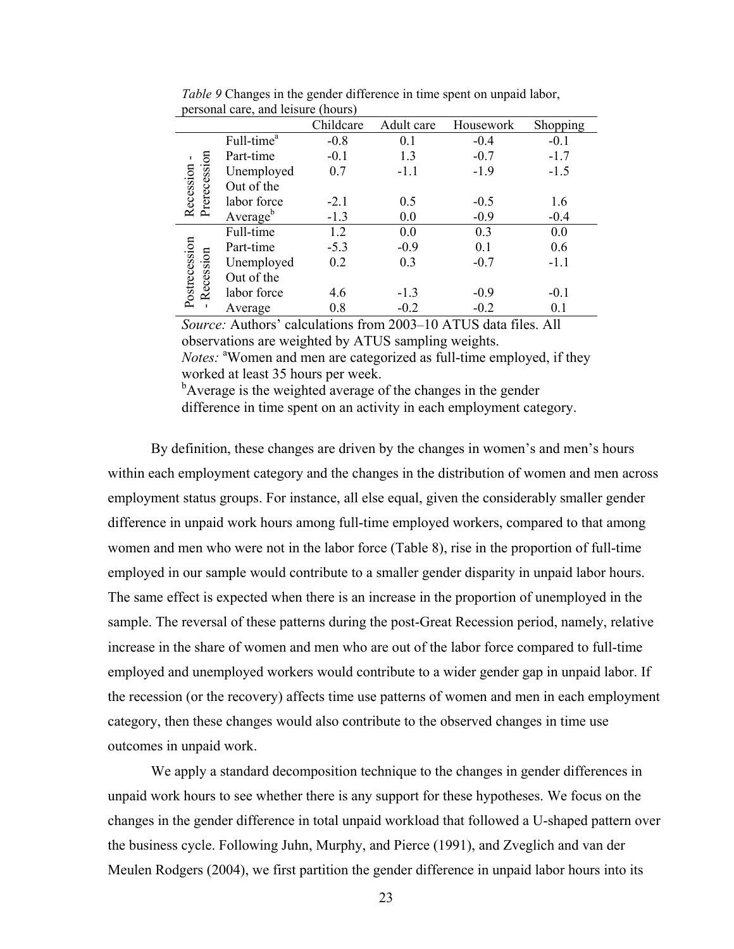|                             |                        | Childcare | Adult care | Housework | Shopping |
|-----------------------------|------------------------|-----------|------------|-----------|----------|
|                             | Full-time <sup>a</sup> | $-0.8$    | 0.1        | $-0.4$    | $-0.1$   |
|                             | Part-time              | $-0.1$    | 1.3        | $-0.7$    | $-1.7$   |
|                             | Unemployed             | 0.7       | $-1.1$     | $-1.9$    | $-1.5$   |
|                             | Out of the             |           |            |           |          |
| Recession -<br>Prerecession | labor force            | $-2.1$    | 0.5        | $-0.5$    | 1.6      |
|                             | Average <sup>b</sup>   | $-1.3$    | 0.0        | $-0.9$    | $-0.4$   |
|                             | Full-time              | 1.2       | 0.0        | 0.3       | 0.0      |
|                             | Part-time              | $-5.3$    | $-0.9$     | 0.1       | 0.6      |
|                             | Unemployed             | 0.2       | 0.3        | $-0.7$    | $-1.1$   |
|                             | Out of the             |           |            |           |          |
| Postrecession<br>Recession  | labor force            | 4.6       | $-1.3$     | $-0.9$    | $-0.1$   |
|                             | Average                | 0.8       | $-0.2$     | $-0.2$    | 0.1      |

*Table 9* Changes in the gender difference in time spent on unpaid labor, personal care, and leisure (hours)

*Source:* Authors' calculations from 2003–10 ATUS data files. All observations are weighted by ATUS sampling weights. Notes: <sup>a</sup>Women and men are categorized as full-time employed, if they worked at least 35 hours per week.

<sup>b</sup>Average is the weighted average of the changes in the gender difference in time spent on an activity in each employment category.

By definition, these changes are driven by the changes in women's and men's hours within each employment category and the changes in the distribution of women and men across employment status groups. For instance, all else equal, given the considerably smaller gender difference in unpaid work hours among full-time employed workers, compared to that among women and men who were not in the labor force (Table 8), rise in the proportion of full-time employed in our sample would contribute to a smaller gender disparity in unpaid labor hours. The same effect is expected when there is an increase in the proportion of unemployed in the sample. The reversal of these patterns during the post-Great Recession period, namely, relative increase in the share of women and men who are out of the labor force compared to full-time employed and unemployed workers would contribute to a wider gender gap in unpaid labor. If the recession (or the recovery) affects time use patterns of women and men in each employment category, then these changes would also contribute to the observed changes in time use outcomes in unpaid work.

 We apply a standard decomposition technique to the changes in gender differences in unpaid work hours to see whether there is any support for these hypotheses. We focus on the changes in the gender difference in total unpaid workload that followed a U-shaped pattern over the business cycle. Following Juhn, Murphy, and Pierce (1991), and Zveglich and van der Meulen Rodgers (2004), we first partition the gender difference in unpaid labor hours into its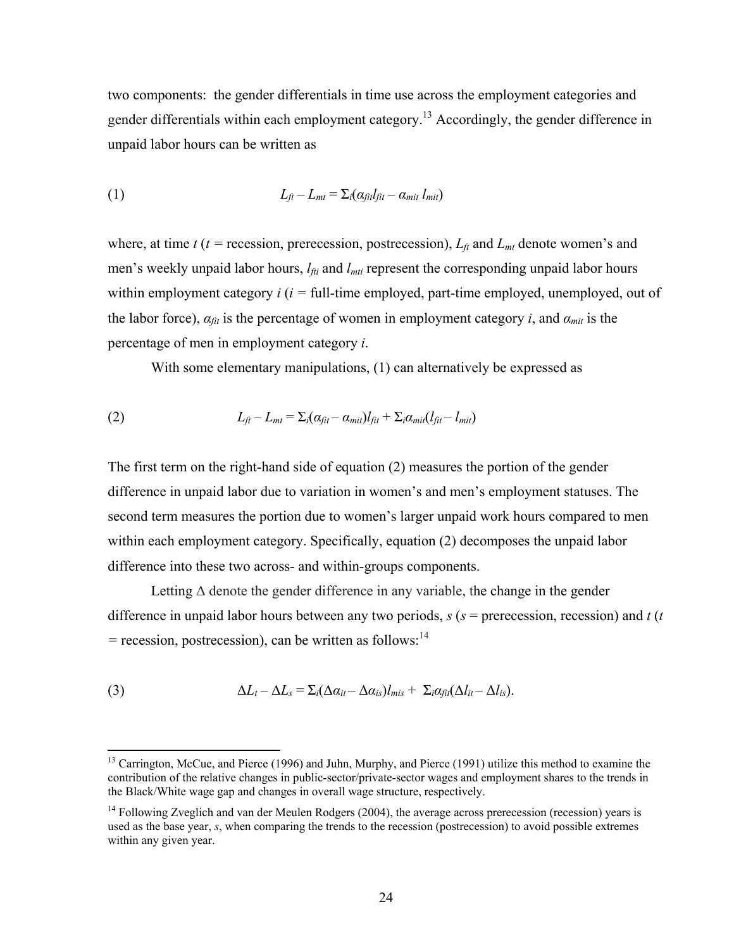two components: the gender differentials in time use across the employment categories and gender differentials within each employment category.<sup>13</sup> Accordingly, the gender difference in unpaid labor hours can be written as

(1) 
$$
L_{ft} - L_{mt} = \sum_i (\alpha_{fit} l_{fit} - \alpha_{mit} l_{mit})
$$

where, at time  $t(t)$  = recession, prerecession, postrecession),  $L_f$  and  $L_{mt}$  denote women's and men's weekly unpaid labor hours, *l<sub>fti</sub>* and *l<sub>mti</sub>* represent the corresponding unpaid labor hours within employment category *i* (*i =* full-time employed, part-time employed, unemployed, out of the labor force),  $\alpha_{fit}$  is the percentage of women in employment category *i*, and  $\alpha_{mit}$  is the percentage of men in employment category *i*.

With some elementary manipulations, (1) can alternatively be expressed as

(2) 
$$
L_{ft} - L_{mt} = \sum_i (\alpha_{fit} - \alpha_{mit}) l_{fit} + \sum_i \alpha_{mit} (l_{fit} - l_{mit})
$$

The first term on the right-hand side of equation (2) measures the portion of the gender difference in unpaid labor due to variation in women's and men's employment statuses. The second term measures the portion due to women's larger unpaid work hours compared to men within each employment category. Specifically, equation (2) decomposes the unpaid labor difference into these two across- and within-groups components.

Letting  $\Delta$  denote the gender difference in any variable, the change in the gender difference in unpaid labor hours between any two periods, *s* (*s* = prerecession, recession) and *t* (*t*   $=$  recession, postrecession), can be written as follows:<sup>14</sup>

(3) 
$$
\Delta L_t - \Delta L_s = \sum_i (\Delta \alpha_{it} - \Delta \alpha_{is}) l_{mis} + \sum_i \alpha_{fit} (\Delta l_{it} - \Delta l_{is}).
$$

 $\overline{a}$ 

<sup>&</sup>lt;sup>13</sup> Carrington, McCue, and Pierce (1996) and Juhn, Murphy, and Pierce (1991) utilize this method to examine the contribution of the relative changes in public-sector/private-sector wages and employment shares to the trends in the Black/White wage gap and changes in overall wage structure, respectively.

<sup>&</sup>lt;sup>14</sup> Following Zveglich and van der Meulen Rodgers (2004), the average across prerecession (recession) years is used as the base year, *s*, when comparing the trends to the recession (postrecession) to avoid possible extremes within any given year.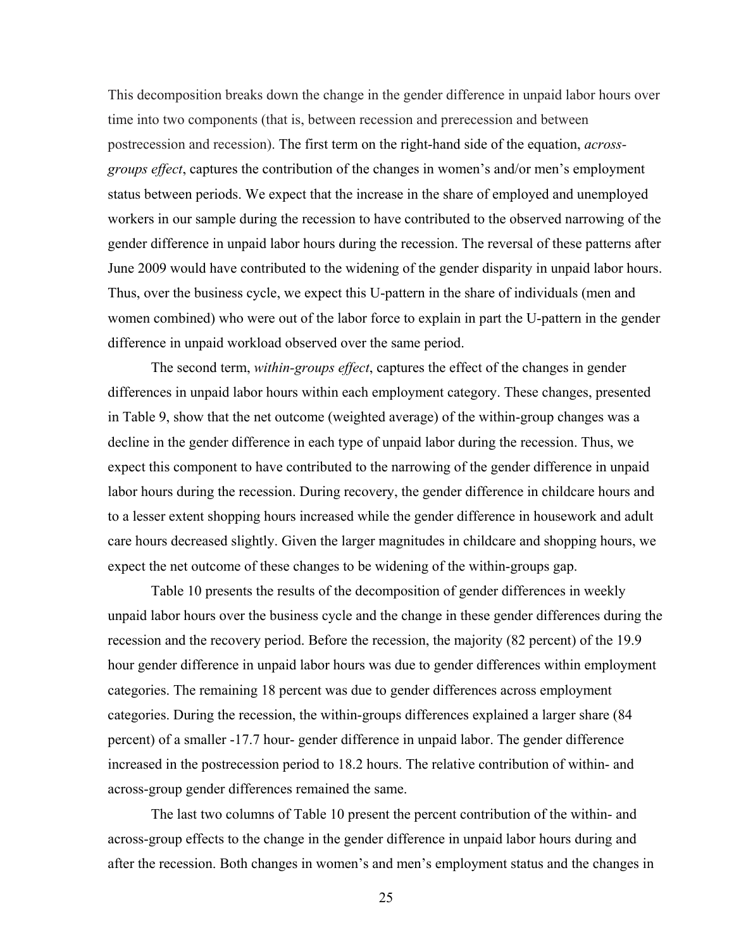This decomposition breaks down the change in the gender difference in unpaid labor hours over time into two components (that is, between recession and prerecession and between postrecession and recession). The first term on the right-hand side of the equation, *acrossgroups effect*, captures the contribution of the changes in women's and/or men's employment status between periods. We expect that the increase in the share of employed and unemployed workers in our sample during the recession to have contributed to the observed narrowing of the gender difference in unpaid labor hours during the recession. The reversal of these patterns after June 2009 would have contributed to the widening of the gender disparity in unpaid labor hours. Thus, over the business cycle, we expect this U-pattern in the share of individuals (men and women combined) who were out of the labor force to explain in part the U-pattern in the gender difference in unpaid workload observed over the same period.

 The second term, *within-groups effect*, captures the effect of the changes in gender differences in unpaid labor hours within each employment category. These changes, presented in Table 9, show that the net outcome (weighted average) of the within-group changes was a decline in the gender difference in each type of unpaid labor during the recession. Thus, we expect this component to have contributed to the narrowing of the gender difference in unpaid labor hours during the recession. During recovery, the gender difference in childcare hours and to a lesser extent shopping hours increased while the gender difference in housework and adult care hours decreased slightly. Given the larger magnitudes in childcare and shopping hours, we expect the net outcome of these changes to be widening of the within-groups gap.

 Table 10 presents the results of the decomposition of gender differences in weekly unpaid labor hours over the business cycle and the change in these gender differences during the recession and the recovery period. Before the recession, the majority (82 percent) of the 19.9 hour gender difference in unpaid labor hours was due to gender differences within employment categories. The remaining 18 percent was due to gender differences across employment categories. During the recession, the within-groups differences explained a larger share (84 percent) of a smaller -17.7 hour- gender difference in unpaid labor. The gender difference increased in the postrecession period to 18.2 hours. The relative contribution of within- and across-group gender differences remained the same.

The last two columns of Table 10 present the percent contribution of the within- and across-group effects to the change in the gender difference in unpaid labor hours during and after the recession. Both changes in women's and men's employment status and the changes in

25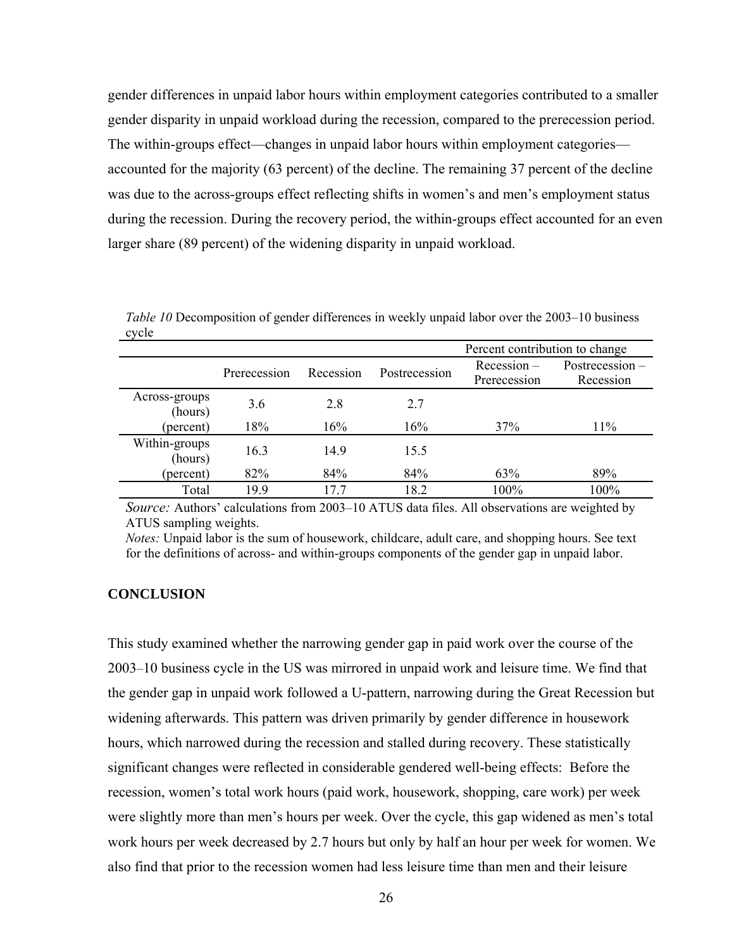gender differences in unpaid labor hours within employment categories contributed to a smaller gender disparity in unpaid workload during the recession, compared to the prerecession period. The within-groups effect—changes in unpaid labor hours within employment categories accounted for the majority (63 percent) of the decline. The remaining 37 percent of the decline was due to the across-groups effect reflecting shifts in women's and men's employment status during the recession. During the recovery period, the within-groups effect accounted for an even larger share (89 percent) of the widening disparity in unpaid workload.

|                          |              |           |               | Percent contribution to change |                              |  |  |
|--------------------------|--------------|-----------|---------------|--------------------------------|------------------------------|--|--|
|                          | Prerecession | Recession | Postrecession | $Recession -$<br>Prerecession  | Postrecession –<br>Recession |  |  |
| Across-groups<br>(hours) | 3.6          | 2.8       | 2.7           |                                |                              |  |  |
| (percent)                | 18%          | 16%       | 16%           | 37%                            | 11%                          |  |  |
| Within-groups<br>(hours) | 16.3         | 14.9      | 15.5          |                                |                              |  |  |
| (percent)                | 82%          | 84%       | 84%           | 63%                            | 89%                          |  |  |
| Total                    | 199          | 177       | 18.2          | 100%                           | 100%                         |  |  |

*Table 10* Decomposition of gender differences in weekly unpaid labor over the 2003–10 business cycle

*Source:* Authors' calculations from 2003–10 ATUS data files. All observations are weighted by ATUS sampling weights.

*Notes:* Unpaid labor is the sum of housework, childcare, adult care, and shopping hours. See text for the definitions of across- and within-groups components of the gender gap in unpaid labor.

# **CONCLUSION**

This study examined whether the narrowing gender gap in paid work over the course of the 2003–10 business cycle in the US was mirrored in unpaid work and leisure time. We find that the gender gap in unpaid work followed a U-pattern, narrowing during the Great Recession but widening afterwards. This pattern was driven primarily by gender difference in housework hours, which narrowed during the recession and stalled during recovery. These statistically significant changes were reflected in considerable gendered well-being effects: Before the recession, women's total work hours (paid work, housework, shopping, care work) per week were slightly more than men's hours per week. Over the cycle, this gap widened as men's total work hours per week decreased by 2.7 hours but only by half an hour per week for women. We also find that prior to the recession women had less leisure time than men and their leisure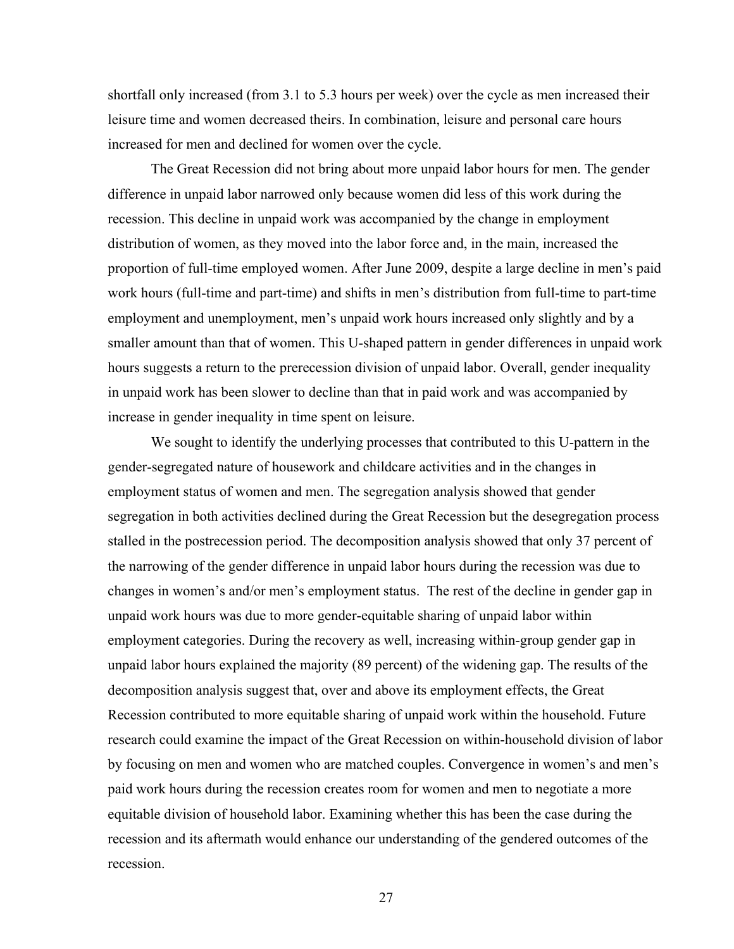shortfall only increased (from 3.1 to 5.3 hours per week) over the cycle as men increased their leisure time and women decreased theirs. In combination, leisure and personal care hours increased for men and declined for women over the cycle.

The Great Recession did not bring about more unpaid labor hours for men. The gender difference in unpaid labor narrowed only because women did less of this work during the recession. This decline in unpaid work was accompanied by the change in employment distribution of women, as they moved into the labor force and, in the main, increased the proportion of full-time employed women. After June 2009, despite a large decline in men's paid work hours (full-time and part-time) and shifts in men's distribution from full-time to part-time employment and unemployment, men's unpaid work hours increased only slightly and by a smaller amount than that of women. This U-shaped pattern in gender differences in unpaid work hours suggests a return to the prerecession division of unpaid labor. Overall, gender inequality in unpaid work has been slower to decline than that in paid work and was accompanied by increase in gender inequality in time spent on leisure.

We sought to identify the underlying processes that contributed to this U-pattern in the gender-segregated nature of housework and childcare activities and in the changes in employment status of women and men. The segregation analysis showed that gender segregation in both activities declined during the Great Recession but the desegregation process stalled in the postrecession period. The decomposition analysis showed that only 37 percent of the narrowing of the gender difference in unpaid labor hours during the recession was due to changes in women's and/or men's employment status. The rest of the decline in gender gap in unpaid work hours was due to more gender-equitable sharing of unpaid labor within employment categories. During the recovery as well, increasing within-group gender gap in unpaid labor hours explained the majority (89 percent) of the widening gap. The results of the decomposition analysis suggest that, over and above its employment effects, the Great Recession contributed to more equitable sharing of unpaid work within the household. Future research could examine the impact of the Great Recession on within-household division of labor by focusing on men and women who are matched couples. Convergence in women's and men's paid work hours during the recession creates room for women and men to negotiate a more equitable division of household labor. Examining whether this has been the case during the recession and its aftermath would enhance our understanding of the gendered outcomes of the recession.

27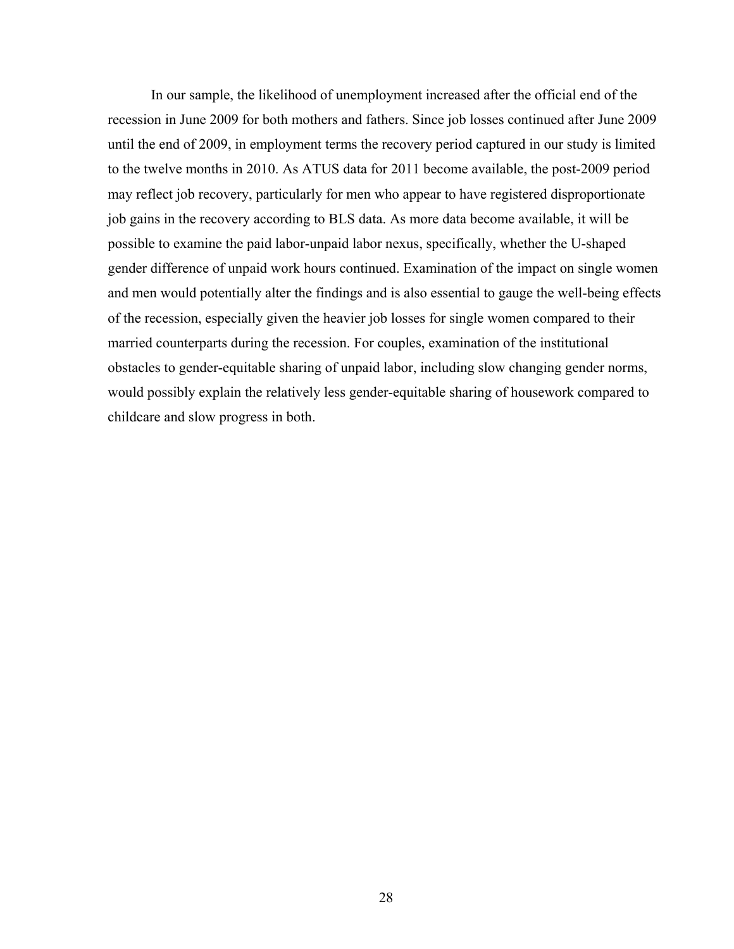In our sample, the likelihood of unemployment increased after the official end of the recession in June 2009 for both mothers and fathers. Since job losses continued after June 2009 until the end of 2009, in employment terms the recovery period captured in our study is limited to the twelve months in 2010. As ATUS data for 2011 become available, the post-2009 period may reflect job recovery, particularly for men who appear to have registered disproportionate job gains in the recovery according to BLS data. As more data become available, it will be possible to examine the paid labor-unpaid labor nexus, specifically, whether the U-shaped gender difference of unpaid work hours continued. Examination of the impact on single women and men would potentially alter the findings and is also essential to gauge the well-being effects of the recession, especially given the heavier job losses for single women compared to their married counterparts during the recession. For couples, examination of the institutional obstacles to gender-equitable sharing of unpaid labor, including slow changing gender norms, would possibly explain the relatively less gender-equitable sharing of housework compared to childcare and slow progress in both.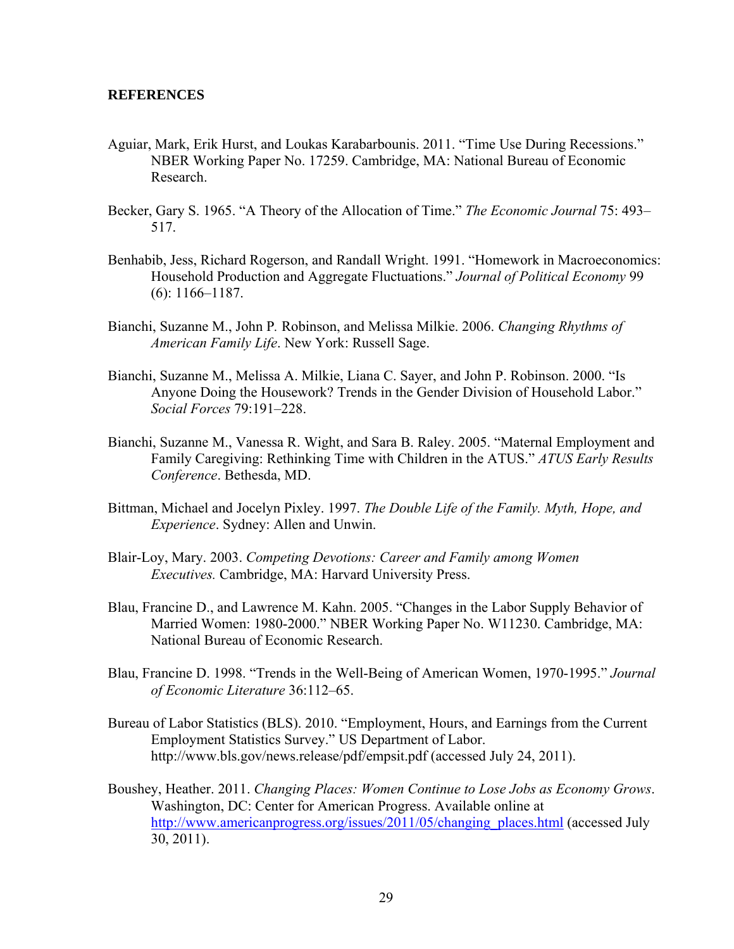## **REFERENCES**

- Aguiar, Mark, Erik Hurst, and Loukas Karabarbounis. 2011. "Time Use During Recessions." NBER Working Paper No. 17259. Cambridge, MA: National Bureau of Economic Research.
- Becker, Gary S. 1965. "A Theory of the Allocation of Time." *The Economic Journal* 75: 493– 517.
- Benhabib, Jess, Richard Rogerson, and Randall Wright. 1991. "Homework in Macroeconomics: Household Production and Aggregate Fluctuations." *Journal of Political Economy* 99 (6): 1166–1187.
- Bianchi, Suzanne M., John P*.* Robinson, and Melissa Milkie. 2006. *Changing Rhythms of American Family Life*. New York: Russell Sage.
- Bianchi, Suzanne M., Melissa A. Milkie, Liana C. Sayer, and John P. Robinson. 2000. "Is Anyone Doing the Housework? Trends in the Gender Division of Household Labor." *Social Forces* 79:191–228.
- Bianchi, Suzanne M., Vanessa R. Wight, and Sara B. Raley. 2005. "Maternal Employment and Family Caregiving: Rethinking Time with Children in the ATUS." *ATUS Early Results Conference*. Bethesda, MD.
- Bittman, Michael and Jocelyn Pixley. 1997. *The Double Life of the Family. Myth, Hope, and Experience*. Sydney: Allen and Unwin.
- Blair-Loy, Mary. 2003. *Competing Devotions: Career and Family among Women Executives.* Cambridge, MA: Harvard University Press.
- Blau, Francine D., and Lawrence M. Kahn. 2005. "Changes in the Labor Supply Behavior of Married Women: 1980-2000." NBER Working Paper No. W11230. Cambridge, MA: National Bureau of Economic Research.
- Blau, Francine D. 1998. "Trends in the Well-Being of American Women, 1970-1995." *Journal of Economic Literature* 36:112–65.
- Bureau of Labor Statistics (BLS). 2010. "Employment, Hours, and Earnings from the Current Employment Statistics Survey." US Department of Labor. http://www.bls.gov/news.release/pdf/empsit.pdf (accessed July 24, 2011).
- Boushey, Heather. 2011. *Changing Places: Women Continue to Lose Jobs as Economy Grows*. Washington, DC: Center for American Progress. Available online at http://www.americanprogress.org/issues/2011/05/changing\_places.html (accessed July 30, 2011).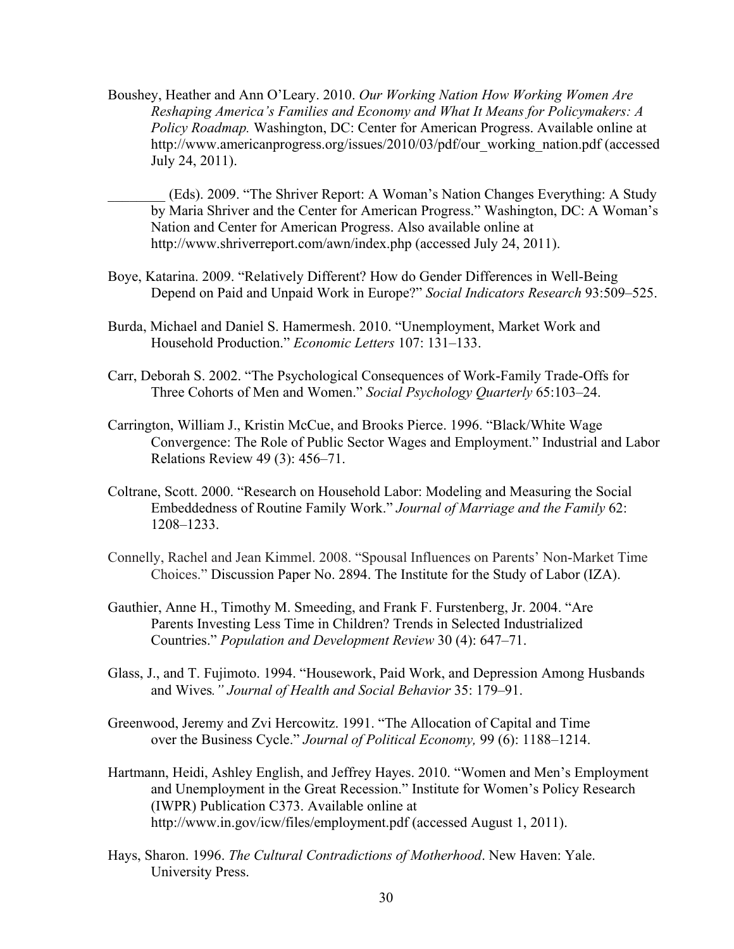Boushey, Heather and Ann O'Leary. 2010. *Our Working Nation How Working Women Are Reshaping America's Families and Economy and What It Means for Policymakers: A Policy Roadmap.* Washington, DC: Center for American Progress. Available online at http://www.americanprogress.org/issues/2010/03/pdf/our\_working\_nation.pdf (accessed July 24, 2011).

\_\_\_\_\_\_\_\_ (Eds). 2009. "The Shriver Report: A Woman's Nation Changes Everything: A Study by Maria Shriver and the Center for American Progress." Washington, DC: A Woman's Nation and Center for American Progress. Also available online at http://www.shriverreport.com/awn/index.php (accessed July 24, 2011).

- Boye, Katarina. 2009. "Relatively Different? How do Gender Differences in Well-Being Depend on Paid and Unpaid Work in Europe?" *Social Indicators Research* 93:509–525.
- Burda, Michael and Daniel S. Hamermesh. 2010. "Unemployment, Market Work and Household Production." *Economic Letters* 107: 131–133.
- Carr, Deborah S. 2002. "The Psychological Consequences of Work-Family Trade-Offs for Three Cohorts of Men and Women." *Social Psychology Quarterly* 65:103–24.
- Carrington, William J., Kristin McCue, and Brooks Pierce. 1996. "Black/White Wage Convergence: The Role of Public Sector Wages and Employment." Industrial and Labor Relations Review 49 (3): 456–71.
- Coltrane, Scott. 2000. "Research on Household Labor: Modeling and Measuring the Social Embeddedness of Routine Family Work." *Journal of Marriage and the Family* 62: 1208–1233.
- Connelly, Rachel and Jean Kimmel. 2008. "Spousal Influences on Parents' Non-Market Time Choices." Discussion Paper No. 2894. The Institute for the Study of Labor (IZA).
- Gauthier, Anne H., Timothy M. Smeeding, and Frank F. Furstenberg, Jr. 2004. "Are Parents Investing Less Time in Children? Trends in Selected Industrialized Countries." *Population and Development Review* 30 (4): 647–71.
- Glass, J., and T. Fujimoto. 1994. "Housework, Paid Work, and Depression Among Husbands and Wives*." Journal of Health and Social Behavior* 35: 179–91.
- Greenwood, Jeremy and Zvi Hercowitz. 1991. "The Allocation of Capital and Time over the Business Cycle." *Journal of Political Economy,* 99 (6): 1188–1214.
- Hartmann, Heidi, Ashley English, and Jeffrey Hayes. 2010. "Women and Men's Employment and Unemployment in the Great Recession." Institute for Women's Policy Research (IWPR) Publication C373. Available online at http://www.in.gov/icw/files/employment.pdf (accessed August 1, 2011).
- Hays, Sharon. 1996. *The Cultural Contradictions of Motherhood*. New Haven: Yale. University Press.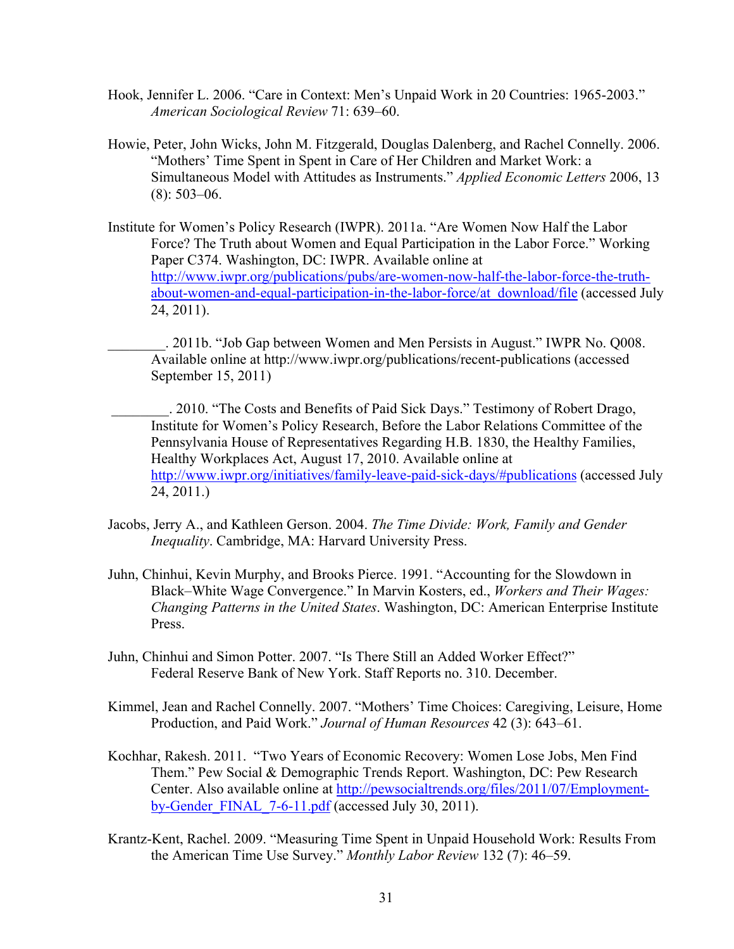- Hook, Jennifer L. 2006. "Care in Context: Men's Unpaid Work in 20 Countries: 1965-2003." *American Sociological Review* 71: 639–60.
- Howie, Peter, John Wicks, John M. Fitzgerald, Douglas Dalenberg, and Rachel Connelly. 2006. "Mothers' Time Spent in Spent in Care of Her Children and Market Work: a Simultaneous Model with Attitudes as Instruments." *Applied Economic Letters* 2006, 13 (8): 503–06.
- Institute for Women's Policy Research (IWPR). 2011a. "Are Women Now Half the Labor Force? The Truth about Women and Equal Participation in the Labor Force." Working Paper C374. Washington, DC: IWPR. Available online at http://www.iwpr.org/publications/pubs/are-women-now-half-the-labor-force-the-truthabout-women-and-equal-participation-in-the-labor-force/at\_download/file (accessed July 24, 2011).
	- \_\_\_\_\_\_\_\_. 2011b. "Job Gap between Women and Men Persists in August." IWPR No. Q008. Available online at http://www.iwpr.org/publications/recent-publications (accessed September 15, 2011)
	- . 2010. "The Costs and Benefits of Paid Sick Days." Testimony of Robert Drago, Institute for Women's Policy Research, Before the Labor Relations Committee of the Pennsylvania House of Representatives Regarding H.B. 1830, the Healthy Families, Healthy Workplaces Act, August 17, 2010. Available online at http://www.iwpr.org/initiatives/family-leave-paid-sick-days/#publications (accessed July 24, 2011.)
- Jacobs, Jerry A., and Kathleen Gerson. 2004. *The Time Divide: Work, Family and Gender Inequality*. Cambridge, MA: Harvard University Press.
- Juhn, Chinhui, Kevin Murphy, and Brooks Pierce. 1991. "Accounting for the Slowdown in Black–White Wage Convergence." In Marvin Kosters, ed., *Workers and Their Wages: Changing Patterns in the United States*. Washington, DC: American Enterprise Institute Press.
- Juhn, Chinhui and Simon Potter. 2007. "Is There Still an Added Worker Effect?" Federal Reserve Bank of New York. Staff Reports no. 310. December.
- Kimmel, Jean and Rachel Connelly. 2007. "Mothers' Time Choices: Caregiving, Leisure, Home Production, and Paid Work." *Journal of Human Resources* 42 (3): 643–61.
- Kochhar, Rakesh. 2011."Two Years of Economic Recovery: Women Lose Jobs, Men Find Them." Pew Social & Demographic Trends Report. Washington, DC: Pew Research Center. Also available online at http://pewsocialtrends.org/files/2011/07/Employmentby-Gender FINAL  $7-6-11$ .pdf (accessed July 30, 2011).
- Krantz-Kent, Rachel. 2009. "Measuring Time Spent in Unpaid Household Work: Results From the American Time Use Survey." *Monthly Labor Review* 132 (7): 46–59.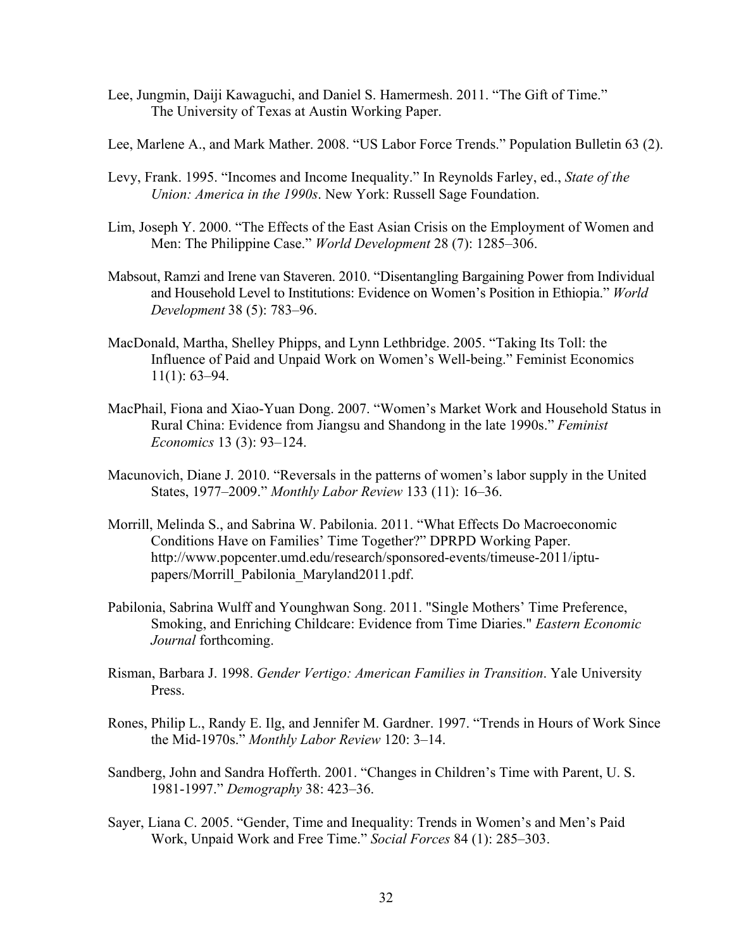- Lee, Jungmin, Daiji Kawaguchi, and Daniel S. Hamermesh. 2011. "The Gift of Time." The University of Texas at Austin Working Paper.
- Lee, Marlene A., and Mark Mather. 2008. "US Labor Force Trends." Population Bulletin 63 (2).
- Levy, Frank. 1995. "Incomes and Income Inequality." In Reynolds Farley, ed., *State of the Union: America in the 1990s*. New York: Russell Sage Foundation.
- Lim, Joseph Y. 2000. "The Effects of the East Asian Crisis on the Employment of Women and Men: The Philippine Case." *World Development* 28 (7): 1285–306.
- Mabsout, Ramzi and Irene van Staveren. 2010. "Disentangling Bargaining Power from Individual and Household Level to Institutions: Evidence on Women's Position in Ethiopia." *World Development* 38 (5): 783–96.
- MacDonald, Martha, Shelley Phipps, and Lynn Lethbridge. 2005. "Taking Its Toll: the Influence of Paid and Unpaid Work on Women's Well-being." Feminist Economics 11(1): 63–94.
- MacPhail, Fiona and Xiao-Yuan Dong. 2007. "Women's Market Work and Household Status in Rural China: Evidence from Jiangsu and Shandong in the late 1990s." *Feminist Economics* 13 (3): 93–124.
- Macunovich, Diane J. 2010. "Reversals in the patterns of women's labor supply in the United States, 1977–2009." *Monthly Labor Review* 133 (11): 16–36.
- Morrill, Melinda S., and Sabrina W. Pabilonia. 2011. "What Effects Do Macroeconomic Conditions Have on Families' Time Together?" DPRPD Working Paper. http://www.popcenter.umd.edu/research/sponsored-events/timeuse-2011/iptupapers/Morrill\_Pabilonia\_Maryland2011.pdf.
- Pabilonia, Sabrina Wulff and Younghwan Song. 2011. "Single Mothers' Time Preference, Smoking, and Enriching Childcare: Evidence from Time Diaries." *Eastern Economic Journal* forthcoming.
- Risman, Barbara J. 1998. *Gender Vertigo: American Families in Transition*. Yale University Press.
- Rones, Philip L., Randy E. Ilg, and Jennifer M. Gardner. 1997. "Trends in Hours of Work Since the Mid-1970s." *Monthly Labor Review* 120: 3–14.
- Sandberg, John and Sandra Hofferth. 2001. "Changes in Children's Time with Parent, U. S. 1981-1997." *Demography* 38: 423–36.
- Sayer, Liana C. 2005. "Gender, Time and Inequality: Trends in Women's and Men's Paid Work, Unpaid Work and Free Time." *Social Forces* 84 (1): 285–303.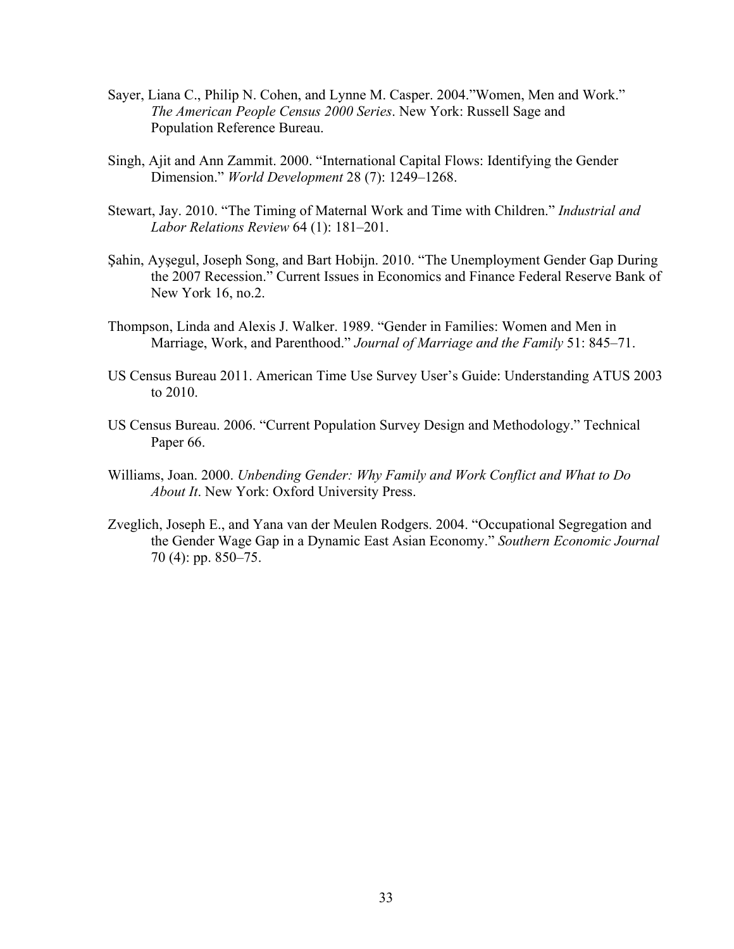- Sayer, Liana C., Philip N. Cohen, and Lynne M. Casper. 2004."Women, Men and Work."  *The American People Census 2000 Series*. New York: Russell Sage and Population Reference Bureau.
- Singh, Ajit and Ann Zammit. 2000. "International Capital Flows: Identifying the Gender Dimension." *World Development* 28 (7): 1249–1268.
- Stewart, Jay. 2010. "The Timing of Maternal Work and Time with Children." *Industrial and Labor Relations Review* 64 (1): 181–201.
- Şahin, Ayşegul, Joseph Song, and Bart Hobijn. 2010. "The Unemployment Gender Gap During the 2007 Recession." Current Issues in Economics and Finance Federal Reserve Bank of New York 16, no.2.
- Thompson, Linda and Alexis J. Walker. 1989. "Gender in Families: Women and Men in Marriage, Work, and Parenthood." *Journal of Marriage and the Family* 51: 845–71.
- US Census Bureau 2011. American Time Use Survey User's Guide: Understanding ATUS 2003 to 2010.
- US Census Bureau. 2006. "Current Population Survey Design and Methodology." Technical Paper 66.
- Williams, Joan. 2000. *Unbending Gender: Why Family and Work Conflict and What to Do About It*. New York: Oxford University Press.
- Zveglich, Joseph E., and Yana van der Meulen Rodgers. 2004. "Occupational Segregation and the Gender Wage Gap in a Dynamic East Asian Economy." *Southern Economic Journal* 70 (4): pp. 850–75.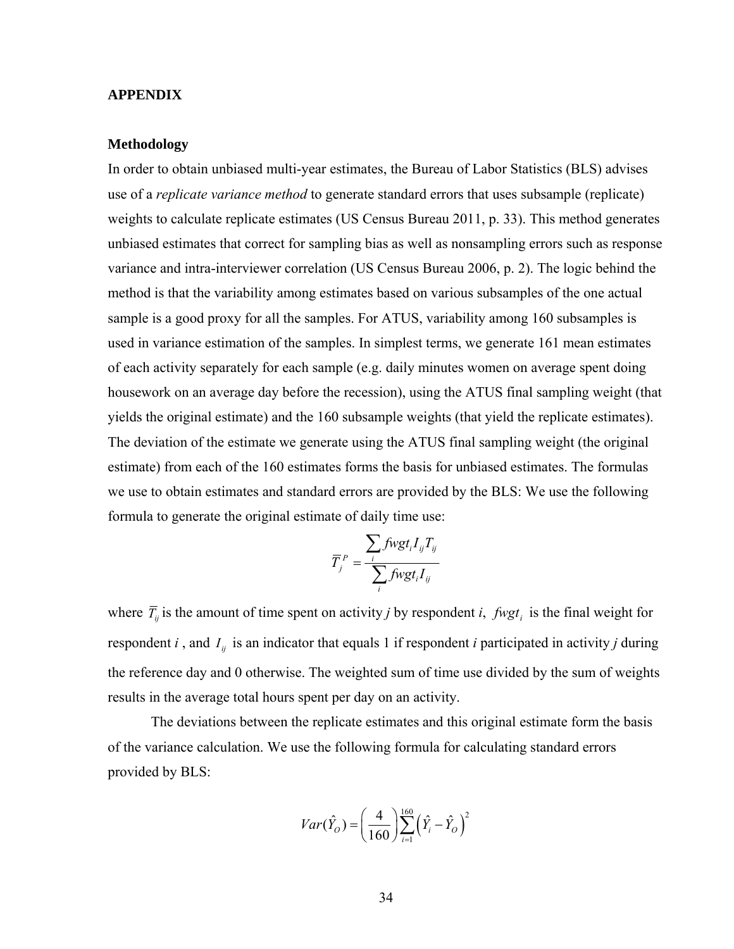#### **APPENDIX**

## **Methodology**

In order to obtain unbiased multi-year estimates, the Bureau of Labor Statistics (BLS) advises use of a *replicate variance method* to generate standard errors that uses subsample (replicate) weights to calculate replicate estimates (US Census Bureau 2011, p. 33). This method generates unbiased estimates that correct for sampling bias as well as nonsampling errors such as response variance and intra-interviewer correlation (US Census Bureau 2006, p. 2). The logic behind the method is that the variability among estimates based on various subsamples of the one actual sample is a good proxy for all the samples. For ATUS, variability among 160 subsamples is used in variance estimation of the samples. In simplest terms, we generate 161 mean estimates of each activity separately for each sample (e.g. daily minutes women on average spent doing housework on an average day before the recession), using the ATUS final sampling weight (that yields the original estimate) and the 160 subsample weights (that yield the replicate estimates). The deviation of the estimate we generate using the ATUS final sampling weight (the original estimate) from each of the 160 estimates forms the basis for unbiased estimates. The formulas we use to obtain estimates and standard errors are provided by the BLS: We use the following formula to generate the original estimate of daily time use:

$$
\overline{T}_{j}^{P} = \frac{\sum_{i} f wgt_{i} I_{ij} T_{ij}}{\sum_{i} f wgt_{i} I_{ij}}
$$

where  $\overline{T}_{ij}$  is the amount of time spent on activity *j* by respondent *i*, *fwgt*<sub>*i*</sub> is the final weight for respondent *i*, and  $I_{ij}$  is an indicator that equals 1 if respondent *i* participated in activity *j* during the reference day and 0 otherwise. The weighted sum of time use divided by the sum of weights results in the average total hours spent per day on an activity.

 The deviations between the replicate estimates and this original estimate form the basis of the variance calculation. We use the following formula for calculating standard errors provided by BLS:

$$
Var(\hat{Y}_O) = \left(\frac{4}{160}\right) \sum_{i=1}^{160} (\hat{Y}_i - \hat{Y}_O)^2
$$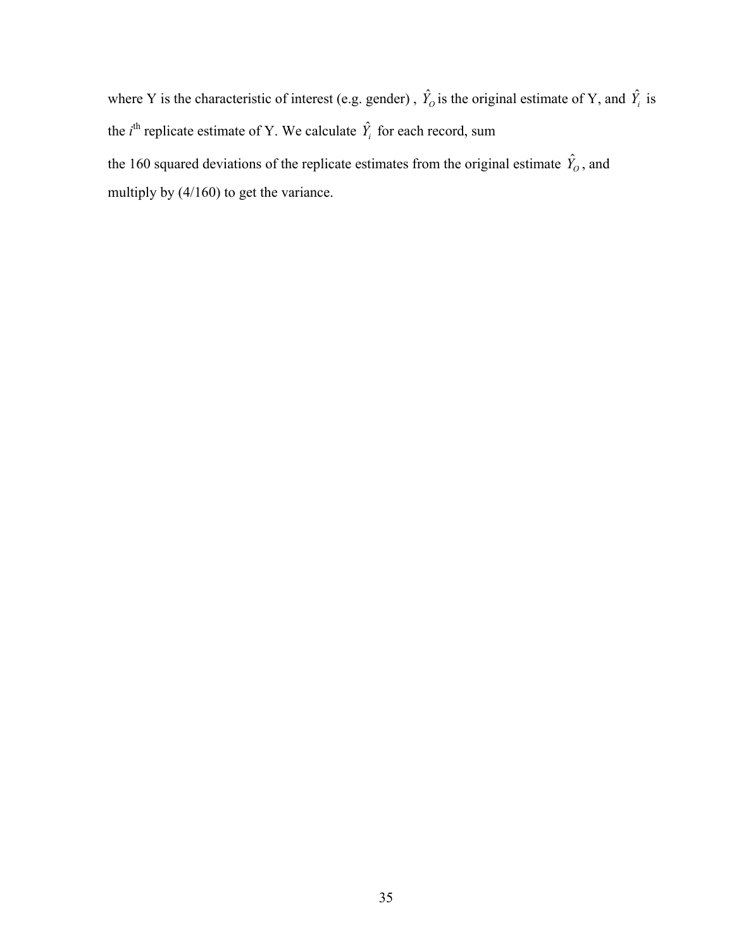where Y is the characteristic of interest (e.g. gender),  $\hat{Y}_0$  is the original estimate of Y, and  $\hat{Y}_i$  is the *i*<sup>th</sup> replicate estimate of Y. We calculate  $\hat{Y}_i$  for each record, sum the 160 squared deviations of the replicate estimates from the original estimate  $\hat{Y}_o$ , and multiply by (4/160) to get the variance.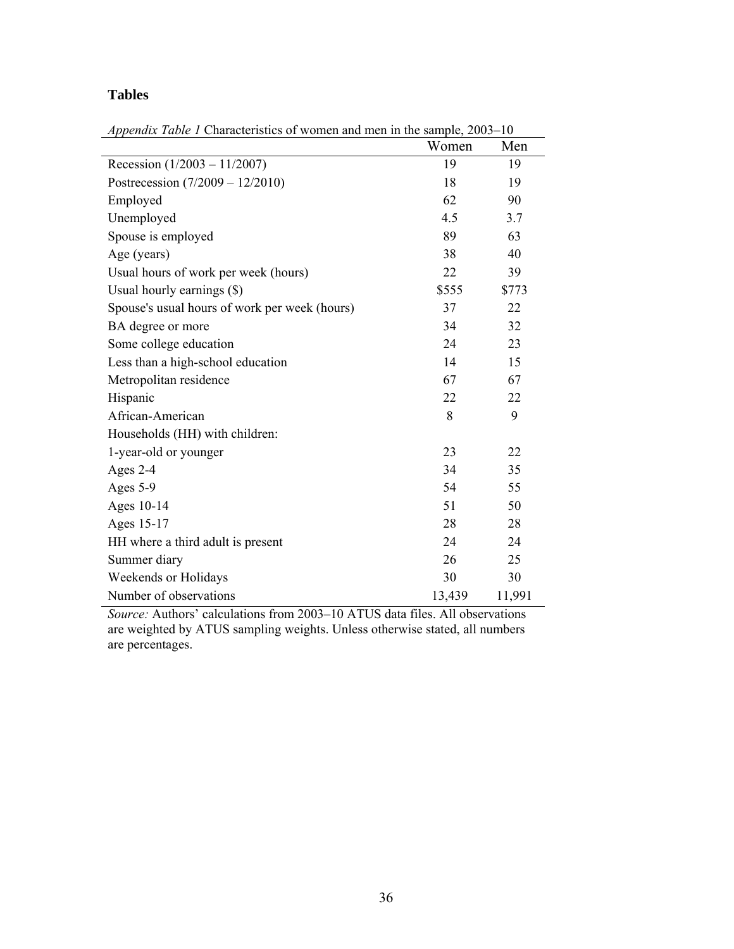# **Tables**

|                                               | Women  | Men    |
|-----------------------------------------------|--------|--------|
| Recession $(1/2003 - 11/2007)$                | 19     | 19     |
| Postrecession $(7/2009 - 12/2010)$            | 18     | 19     |
| Employed                                      | 62     | 90     |
| Unemployed                                    | 4.5    | 3.7    |
| Spouse is employed                            | 89     | 63     |
| Age (years)                                   | 38     | 40     |
| Usual hours of work per week (hours)          | 22     | 39     |
| Usual hourly earnings (\$)                    | \$555  | \$773  |
| Spouse's usual hours of work per week (hours) | 37     | 22     |
| BA degree or more                             | 34     | 32     |
| Some college education                        | 24     | 23     |
| Less than a high-school education             | 14     | 15     |
| Metropolitan residence                        | 67     | 67     |
| Hispanic                                      | 22     | 22     |
| African-American                              | 8      | 9      |
| Households (HH) with children:                |        |        |
| 1-year-old or younger                         | 23     | 22     |
| Ages 2-4                                      | 34     | 35     |
| Ages 5-9                                      | 54     | 55     |
| Ages 10-14                                    | 51     | 50     |
| Ages 15-17                                    | 28     | 28     |
| HH where a third adult is present             | 24     | 24     |
| Summer diary                                  | 26     | 25     |
| Weekends or Holidays                          | 30     | 30     |
| Number of observations                        | 13,439 | 11,991 |
|                                               |        |        |

*Appendix Table 1* Characteristics of women and men in the sample, 2003–10

*Source:* Authors' calculations from 2003–10 ATUS data files. All observations are weighted by ATUS sampling weights. Unless otherwise stated, all numbers are percentages.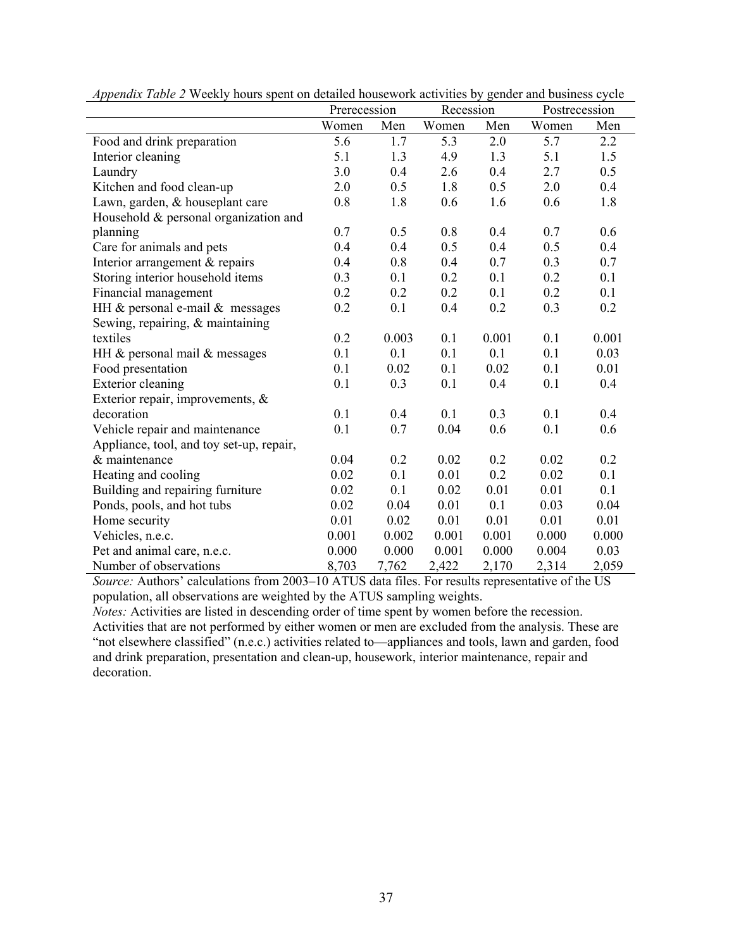|                                          | Prerecession |       | Recession |       | Postrecession |       |
|------------------------------------------|--------------|-------|-----------|-------|---------------|-------|
|                                          | Women        | Men   | Women     | Men   | Women         | Men   |
| Food and drink preparation               | 5.6          | 1.7   | 5.3       | 2.0   | 5.7           | 2.2   |
| Interior cleaning                        | 5.1          | 1.3   | 4.9       | 1.3   | 5.1           | 1.5   |
| Laundry                                  | 3.0          | 0.4   | 2.6       | 0.4   | 2.7           | 0.5   |
| Kitchen and food clean-up                | 2.0          | 0.5   | 1.8       | 0.5   | 2.0           | 0.4   |
| Lawn, garden, & houseplant care          | 0.8          | 1.8   | 0.6       | 1.6   | 0.6           | 1.8   |
| Household & personal organization and    |              |       |           |       |               |       |
| planning                                 | 0.7          | 0.5   | 0.8       | 0.4   | 0.7           | 0.6   |
| Care for animals and pets                | 0.4          | 0.4   | 0.5       | 0.4   | 0.5           | 0.4   |
| Interior arrangement & repairs           | 0.4          | 0.8   | 0.4       | 0.7   | 0.3           | 0.7   |
| Storing interior household items         | 0.3          | 0.1   | 0.2       | 0.1   | 0.2           | 0.1   |
| Financial management                     | 0.2          | 0.2   | 0.2       | 0.1   | 0.2           | 0.1   |
| HH $&$ personal e-mail $&$ messages      | 0.2          | 0.1   | 0.4       | 0.2   | 0.3           | 0.2   |
| Sewing, repairing, $\&$ maintaining      |              |       |           |       |               |       |
| textiles                                 | 0.2          | 0.003 | 0.1       | 0.001 | 0.1           | 0.001 |
| HH & personal mail & messages            | 0.1          | 0.1   | 0.1       | 0.1   | 0.1           | 0.03  |
| Food presentation                        | 0.1          | 0.02  | 0.1       | 0.02  | 0.1           | 0.01  |
| <b>Exterior cleaning</b>                 | 0.1          | 0.3   | 0.1       | 0.4   | 0.1           | 0.4   |
| Exterior repair, improvements, $\&$      |              |       |           |       |               |       |
| decoration                               | 0.1          | 0.4   | 0.1       | 0.3   | 0.1           | 0.4   |
| Vehicle repair and maintenance           | 0.1          | 0.7   | 0.04      | 0.6   | 0.1           | 0.6   |
| Appliance, tool, and toy set-up, repair, |              |       |           |       |               |       |
| & maintenance                            | 0.04         | 0.2   | 0.02      | 0.2   | 0.02          | 0.2   |
| Heating and cooling                      | 0.02         | 0.1   | 0.01      | 0.2   | 0.02          | 0.1   |
| Building and repairing furniture         | 0.02         | 0.1   | 0.02      | 0.01  | 0.01          | 0.1   |
| Ponds, pools, and hot tubs               | 0.02         | 0.04  | 0.01      | 0.1   | 0.03          | 0.04  |
| Home security                            | 0.01         | 0.02  | 0.01      | 0.01  | 0.01          | 0.01  |
| Vehicles, n.e.c.                         | 0.001        | 0.002 | 0.001     | 0.001 | 0.000         | 0.000 |
| Pet and animal care, n.e.c.              | 0.000        | 0.000 | 0.001     | 0.000 | 0.004         | 0.03  |
| Number of observations                   | 8,703        | 7,762 | 2,422     | 2,170 | 2,314         | 2,059 |

*Appendix Table 2* Weekly hours spent on detailed housework activities by gender and business cycle

*Source:* Authors' calculations from 2003–10 ATUS data files. For results representative of the US population, all observations are weighted by the ATUS sampling weights.

*Notes:* Activities are listed in descending order of time spent by women before the recession. Activities that are not performed by either women or men are excluded from the analysis. These are "not elsewhere classified" (n.e.c.) activities related to—appliances and tools, lawn and garden, food and drink preparation, presentation and clean-up, housework, interior maintenance, repair and decoration.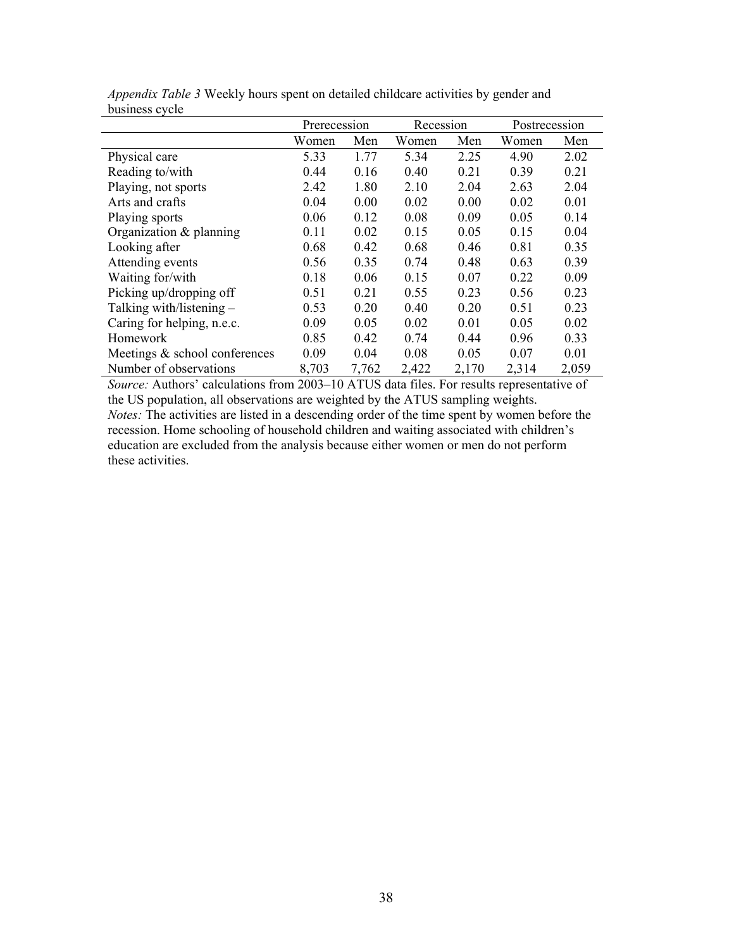| <b>UUSHIYSS UVULU</b>         |              |       |           |       |               |       |
|-------------------------------|--------------|-------|-----------|-------|---------------|-------|
|                               | Prerecession |       | Recession |       | Postrecession |       |
|                               | Women        | Men   | Women     | Men   | Women         | Men   |
| Physical care                 | 5.33         | 1.77  | 5.34      | 2.25  | 4.90          | 2.02  |
| Reading to/with               | 0.44         | 0.16  | 0.40      | 0.21  | 0.39          | 0.21  |
| Playing, not sports           | 2.42         | 1.80  | 2.10      | 2.04  | 2.63          | 2.04  |
| Arts and crafts               | 0.04         | 0.00  | 0.02      | 0.00  | 0.02          | 0.01  |
| Playing sports                | 0.06         | 0.12  | 0.08      | 0.09  | 0.05          | 0.14  |
| Organization $&$ planning     | 0.11         | 0.02  | 0.15      | 0.05  | 0.15          | 0.04  |
| Looking after                 | 0.68         | 0.42  | 0.68      | 0.46  | 0.81          | 0.35  |
| Attending events              | 0.56         | 0.35  | 0.74      | 0.48  | 0.63          | 0.39  |
| Waiting for/with              | 0.18         | 0.06  | 0.15      | 0.07  | 0.22          | 0.09  |
| Picking up/dropping off       | 0.51         | 0.21  | 0.55      | 0.23  | 0.56          | 0.23  |
| Talking with/listening $-$    | 0.53         | 0.20  | 0.40      | 0.20  | 0.51          | 0.23  |
| Caring for helping, n.e.c.    | 0.09         | 0.05  | 0.02      | 0.01  | 0.05          | 0.02  |
| Homework                      | 0.85         | 0.42  | 0.74      | 0.44  | 0.96          | 0.33  |
| Meetings & school conferences | 0.09         | 0.04  | 0.08      | 0.05  | 0.07          | 0.01  |
| Number of observations        | 8,703        | 7,762 | 2,422     | 2,170 | 2,314         | 2,059 |

*Appendix Table 3* Weekly hours spent on detailed childcare activities by gender and business cycle

*Source:* Authors' calculations from 2003–10 ATUS data files. For results representative of the US population, all observations are weighted by the ATUS sampling weights. *Notes:* The activities are listed in a descending order of the time spent by women before the recession. Home schooling of household children and waiting associated with children's education are excluded from the analysis because either women or men do not perform these activities.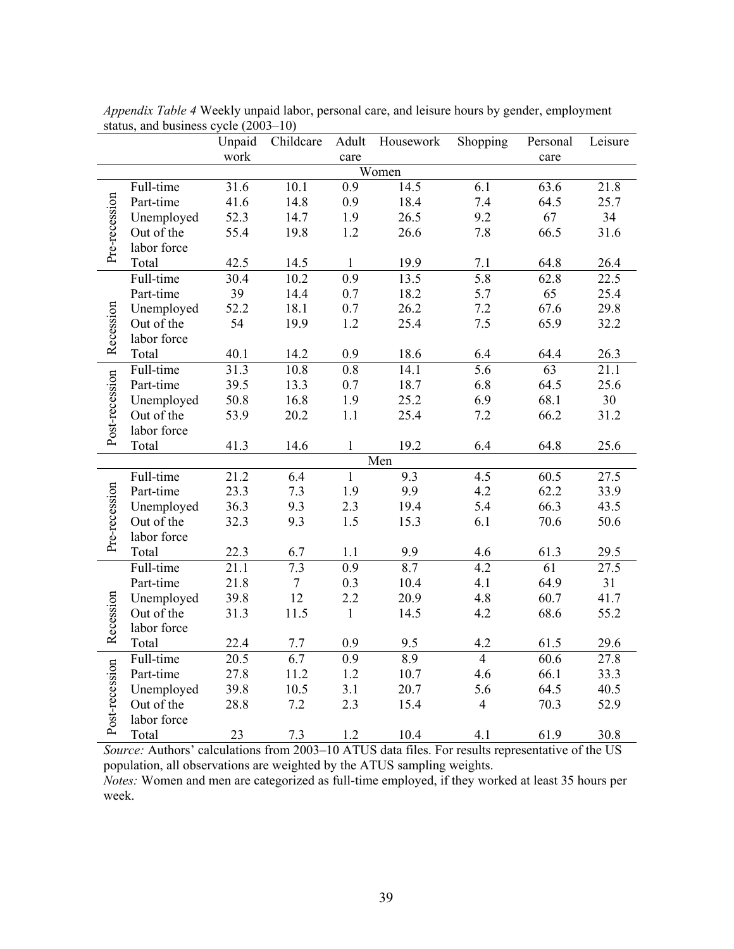|                |             | Unpaid | Childcare        | Adult            | Housework | Shopping         | Personal | Leisure |
|----------------|-------------|--------|------------------|------------------|-----------|------------------|----------|---------|
|                |             | work   |                  | care             |           |                  | care     |         |
|                | Women       |        |                  |                  |           |                  |          |         |
|                | Full-time   | 31.6   | 10.1             | $\overline{0.9}$ | 14.5      | $\overline{6.1}$ | 63.6     | 21.8    |
|                | Part-time   | 41.6   | 14.8             | 0.9              | 18.4      | 7.4              | 64.5     | 25.7    |
| Pre-recession  | Unemployed  | 52.3   | 14.7             | 1.9              | 26.5      | 9.2              | 67       | 34      |
|                | Out of the  | 55.4   | 19.8             | 1.2              | 26.6      | 7.8              | 66.5     | 31.6    |
|                | labor force |        |                  |                  |           |                  |          |         |
|                | Total       | 42.5   | 14.5             | $\mathbf{1}$     | 19.9      | 7.1              | 64.8     | 26.4    |
|                | Full-time   | 30.4   | 10.2             | 0.9              | 13.5      | $\overline{5.8}$ | 62.8     | 22.5    |
|                | Part-time   | 39     | 14.4             | 0.7              | 18.2      | 5.7              | 65       | 25.4    |
|                | Unemployed  | 52.2   | 18.1             | 0.7              | 26.2      | 7.2              | 67.6     | 29.8    |
|                | Out of the  | 54     | 19.9             | 1.2              | 25.4      | 7.5              | 65.9     | 32.2    |
| Recession      | labor force |        |                  |                  |           |                  |          |         |
|                | Total       | 40.1   | 14.2             | 0.9              | 18.6      | 6.4              | 64.4     | 26.3    |
|                | Full-time   | 31.3   | $10.8\,$         | 0.8              | 14.1      | 5.6              | 63       | 21.1    |
|                | Part-time   | 39.5   | 13.3             | 0.7              | 18.7      | 6.8              | 64.5     | 25.6    |
|                | Unemployed  | 50.8   | 16.8             | 1.9              | 25.2      | 6.9              | 68.1     | 30      |
|                | Out of the  | 53.9   | 20.2             | 1.1              | 25.4      | 7.2              | 66.2     | 31.2    |
| Post-recession | labor force |        |                  |                  |           |                  |          |         |
|                | Total       | 41.3   | 14.6             | $\mathbf{1}$     | 19.2      | 6.4              | 64.8     | 25.6    |
|                |             |        |                  |                  | Men       |                  |          |         |
|                | Full-time   | 21.2   | 6.4              | $\mathbf{1}$     | 9.3       | 4.5              | 60.5     | 27.5    |
|                | Part-time   | 23.3   | 7.3              | 1.9              | 9.9       | 4.2              | 62.2     | 33.9    |
|                | Unemployed  | 36.3   | 9.3              | 2.3              | 19.4      | 5.4              | 66.3     | 43.5    |
| Pre-recession  | Out of the  | 32.3   | 9.3              | 1.5              | 15.3      | 6.1              | 70.6     | 50.6    |
|                | labor force |        |                  |                  |           |                  |          |         |
|                | Total       | 22.3   | 6.7              | 1.1              | 9.9       | 4.6              | 61.3     | 29.5    |
|                | Full-time   | 21.1   | 7.3              | 0.9              | 8.7       | 4.2              | 61       | 27.5    |
|                | Part-time   | 21.8   | $\boldsymbol{7}$ | 0.3              | 10.4      | 4.1              | 64.9     | 31      |
| Recession      | Unemployed  | 39.8   | 12               | 2.2              | 20.9      | 4.8              | 60.7     | 41.7    |
|                | Out of the  | 31.3   | 11.5             | $\mathbf{1}$     | 14.5      | 4.2              | 68.6     | 55.2    |
|                | labor force |        |                  |                  |           |                  |          |         |
|                | Total       | 22.4   | 7.7              | 0.9              | 9.5       | 4.2              | 61.5     | 29.6    |
| Post-recession | Full-time   | 20.5   | 6.7              | 0.9              | 8.9       | $\overline{4}$   | 60.6     | 27.8    |
|                | Part-time   | 27.8   | 11.2             | 1.2              | 10.7      | 4.6              | 66.1     | 33.3    |
|                | Unemployed  | 39.8   | 10.5             | 3.1              | 20.7      | 5.6              | 64.5     | 40.5    |
|                | Out of the  | 28.8   | 7.2              | 2.3              | 15.4      | $\overline{4}$   | 70.3     | 52.9    |
|                | labor force |        |                  |                  |           |                  |          |         |
|                | Total       | 23     | 7.3              | 1.2              | 10.4      | 4.1              | 61.9     | 30.8    |

*Appendix Table 4* Weekly unpaid labor, personal care, and leisure hours by gender, employment status, and business cycle  $(2003-10)$ 

*Source:* Authors' calculations from 2003–10 ATUS data files. For results representative of the US population, all observations are weighted by the ATUS sampling weights. *Notes:* Women and men are categorized as full-time employed, if they worked at least 35 hours per

week.